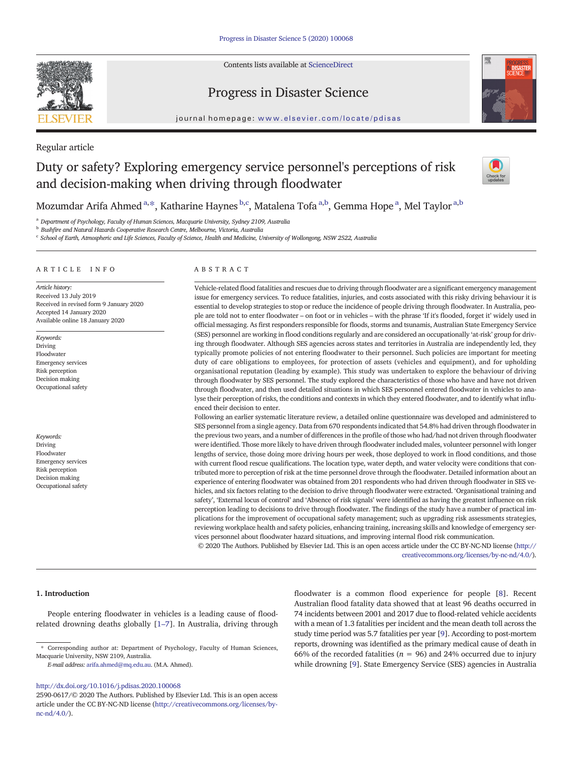Contents lists available at [ScienceDirect](http://www.sciencedirect.com/science/journal/)



Progress in Disaster Science



journal homepage: <www.elsevier.com/locate/pdisas>

## Regular article

# Duty or safety? Exploring emergency service personnel's perceptions of risk and decision-making when driving through floodwater



Mozumdar Arifa Ahmed <sup>a, $\ast$ </sup>, Katharine Haynes <sup>b,c</sup>, Matalena Tofa <sup>a,b</sup>, Gemma Hope <sup>a</sup>, Mel Taylor <sup>a,b</sup>

<sup>a</sup> Department of Psychology, Faculty of Human Sciences, Macquarie University, Sydney 2109, Australia

<sup>b</sup> Bushfire and Natural Hazards Cooperative Research Centre, Melbourne, Victoria, Australia

<sup>c</sup> School of Earth, Atmospheric and Life Sciences, Faculty of Science, Health and Medicine, University of Wollongong, NSW 2522, Australia

## ARTICLE INFO ABSTRACT

Article history: Received 13 July 2019 Received in revised form 9 January 2020 Accepted 14 January 2020 Available online 18 January 2020

Keywords: Driving Floodwater Emergency services Risk perception Decision making Occupational safety

Keywords: Driving **Floodwate** Emergency services Risk perception Decision making Occupational safety

Vehicle-related flood fatalities and rescues due to driving through floodwater are a significant emergency management issue for emergency services. To reduce fatalities, injuries, and costs associated with this risky driving behaviour it is essential to develop strategies to stop or reduce the incidence of people driving through floodwater. In Australia, people are told not to enter floodwater – on foot or in vehicles – with the phrase 'If it's flooded, forget it' widely used in official messaging. As first responders responsible for floods, storms and tsunamis, Australian State Emergency Service (SES) personnel are working in flood conditions regularly and are considered an occupationally 'at-risk' group for driving through floodwater. Although SES agencies across states and territories in Australia are independently led, they typically promote policies of not entering floodwater to their personnel. Such policies are important for meeting duty of care obligations to employees, for protection of assets (vehicles and equipment), and for upholding organisational reputation (leading by example). This study was undertaken to explore the behaviour of driving through floodwater by SES personnel. The study explored the characteristics of those who have and have not driven through floodwater, and then used detailed situations in which SES personnel entered floodwater in vehicles to analyse their perception of risks, the conditions and contexts in which they entered floodwater, and to identify what influenced their decision to enter.

Following an earlier systematic literature review, a detailed online questionnaire was developed and administered to SES personnel from a single agency. Data from 670 respondents indicated that 54.8% had driven through floodwater in the previous two years, and a number of differences in the profile of those who had/had not driven through floodwater were identified. Those more likely to have driven through floodwater included males, volunteer personnel with longer lengths of service, those doing more driving hours per week, those deployed to work in flood conditions, and those with current flood rescue qualifications. The location type, water depth, and water velocity were conditions that contributed more to perception of risk at the time personnel drove through the floodwater. Detailed information about an experience of entering floodwater was obtained from 201 respondents who had driven through floodwater in SES vehicles, and six factors relating to the decision to drive through floodwater were extracted. 'Organisational training and safety', 'External locus of control' and 'Absence of risk signals' were identified as having the greatest influence on risk perception leading to decisions to drive through floodwater. The findings of the study have a number of practical implications for the improvement of occupational safety management; such as upgrading risk assessments strategies, reviewing workplace health and safety policies, enhancing training, increasing skills and knowledge of emergency services personnel about floodwater hazard situations, and improving internal flood risk communication.

© 2020 The Authors. Published by Elsevier Ltd. This is an open access article under the CC BY-NC-ND license [\(http://](http://creativecommons.org/licenses/by-nc-nd/4.0/) [creativecommons.org/licenses/by-nc-nd/4.0/](http://creativecommons.org/licenses/by-nc-nd/4.0/)).

#### 1. Introduction

People entering floodwater in vehicles is a leading cause of floodrelated drowning deaths globally [\[1](#page-12-0)–7]. In Australia, driving through floodwater is a common flood experience for people [[8](#page-12-0)]. Recent Australian flood fatality data showed that at least 96 deaths occurred in 74 incidents between 2001 and 2017 due to flood-related vehicle accidents with a mean of 1.3 fatalities per incident and the mean death toll across the study time period was 5.7 fatalities per year [\[9](#page-12-0)]. According to post-mortem reports, drowning was identified as the primary medical cause of death in 66% of the recorded fatalities ( $n = 96$ ) and 24% occurred due to injury while drowning [\[9\]](#page-12-0). State Emergency Service (SES) agencies in Australia

<sup>⁎</sup> Corresponding author at: Department of Psychology, Faculty of Human Sciences, Macquarie University, NSW 2109, Australia.

E-mail address: [arifa.ahmed@mq.edu.au.](arifa.ahmed@mq.edu.au) (M.A. Ahmed).

<http://dx.doi.org/10.1016/j.pdisas.2020.100068>

<sup>2590-0617/© 2020</sup> The Authors. Published by Elsevier Ltd. This is an open access article under the CC BY-NC-ND license [\(http://creativecommons.org/licenses/by](http://creativecommons.org/licenses/by-nc-nd/4.0/) $nc\text{-}nd/4.0/$ ).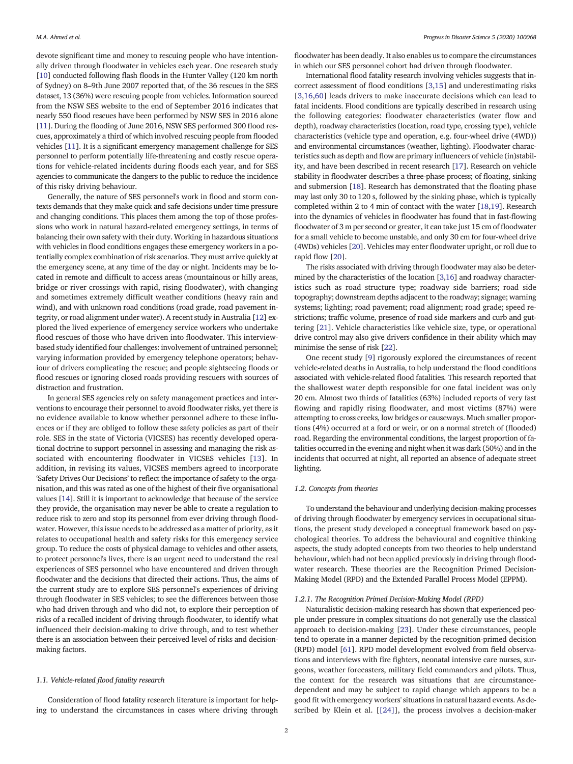devote significant time and money to rescuing people who have intentionally driven through floodwater in vehicles each year. One research study [[10\]](#page-12-0) conducted following flash floods in the Hunter Valley (120 km north of Sydney) on 8–9th June 2007 reported that, of the 36 rescues in the SES dataset, 13 (36%) were rescuing people from vehicles. Information sourced from the NSW SES website to the end of September 2016 indicates that nearly 550 flood rescues have been performed by NSW SES in 2016 alone [[11\]](#page-12-0). During the flooding of June 2016, NSW SES performed 300 flood rescues, approximately a third of which involved rescuing people from flooded vehicles [\[11](#page-12-0)]. It is a significant emergency management challenge for SES personnel to perform potentially life-threatening and costly rescue operations for vehicle-related incidents during floods each year, and for SES agencies to communicate the dangers to the public to reduce the incidence of this risky driving behaviour.

Generally, the nature of SES personnel's work in flood and storm contexts demands that they make quick and safe decisions under time pressure and changing conditions. This places them among the top of those professions who work in natural hazard-related emergency settings, in terms of balancing their own safety with their duty. Working in hazardous situations with vehicles in flood conditions engages these emergency workers in a potentially complex combination of risk scenarios. They must arrive quickly at the emergency scene, at any time of the day or night. Incidents may be located in remote and difficult to access areas (mountainous or hilly areas, bridge or river crossings with rapid, rising floodwater), with changing and sometimes extremely difficult weather conditions (heavy rain and wind), and with unknown road conditions (road grade, road pavement integrity, or road alignment under water). A recent study in Australia [\[12](#page-12-0)] explored the lived experience of emergency service workers who undertake flood rescues of those who have driven into floodwater. This interviewbased study identified four challenges: involvement of untrained personnel; varying information provided by emergency telephone operators; behaviour of drivers complicating the rescue; and people sightseeing floods or flood rescues or ignoring closed roads providing rescuers with sources of distraction and frustration.

In general SES agencies rely on safety management practices and interventions to encourage their personnel to avoid floodwater risks, yet there is no evidence available to know whether personnel adhere to these influences or if they are obliged to follow these safety policies as part of their role. SES in the state of Victoria (VICSES) has recently developed operational doctrine to support personnel in assessing and managing the risk associated with encountering floodwater in VICSES vehicles [[13](#page-12-0)]. In addition, in revising its values, VICSES members agreed to incorporate 'Safety Drives Our Decisions' to reflect the importance of safety to the organisation, and this was rated as one of the highest of their five organisational values [\[14\]](#page-12-0). Still it is important to acknowledge that because of the service they provide, the organisation may never be able to create a regulation to reduce risk to zero and stop its personnel from ever driving through floodwater. However, this issue needs to be addressed as a matter of priority, as it relates to occupational health and safety risks for this emergency service group. To reduce the costs of physical damage to vehicles and other assets, to protect personnel's lives, there is an urgent need to understand the real experiences of SES personnel who have encountered and driven through floodwater and the decisions that directed their actions. Thus, the aims of the current study are to explore SES personnel's experiences of driving through floodwater in SES vehicles; to see the differences between those who had driven through and who did not, to explore their perception of risks of a recalled incident of driving through floodwater, to identify what influenced their decision-making to drive through, and to test whether there is an association between their perceived level of risks and decisionmaking factors.

#### 1.1. Vehicle-related flood fatality research

Consideration of flood fatality research literature is important for helping to understand the circumstances in cases where driving through floodwater has been deadly. It also enables us to compare the circumstances in which our SES personnel cohort had driven through floodwater.

International flood fatality research involving vehicles suggests that incorrect assessment of flood conditions [\[3,15](#page-12-0)] and underestimating risks [\[3,16](#page-12-0),[60\]](#page-13-0) leads drivers to make inaccurate decisions which can lead to fatal incidents. Flood conditions are typically described in research using the following categories: floodwater characteristics (water flow and depth), roadway characteristics (location, road type, crossing type), vehicle characteristics (vehicle type and operation, e.g. four-wheel drive (4WD)) and environmental circumstances (weather, lighting). Floodwater characteristics such as depth and flow are primary influencers of vehicle (in)stability, and have been described in recent research [\[17\]](#page-12-0). Research on vehicle stability in floodwater describes a three-phase process; of floating, sinking and submersion [\[18](#page-12-0)]. Research has demonstrated that the floating phase may last only 30 to 120 s, followed by the sinking phase, which is typically completed within 2 to 4 min of contact with the water [\[18,19](#page-12-0)]. Research into the dynamics of vehicles in floodwater has found that in fast-flowing floodwater of 3 m per second or greater, it can take just 15 cm of floodwater for a small vehicle to become unstable, and only 30 cm for four-wheel drive (4WDs) vehicles [[20\]](#page-12-0). Vehicles may enter floodwater upright, or roll due to rapid flow [[20](#page-12-0)].

The risks associated with driving through floodwater may also be determined by the characteristics of the location [\[3,16](#page-12-0)] and roadway characteristics such as road structure type; roadway side barriers; road side topography; downstream depths adjacent to the roadway; signage; warning systems; lighting; road pavement; road alignment; road grade; speed restrictions; traffic volume, presence of road side markers and curb and guttering [\[21](#page-12-0)]. Vehicle characteristics like vehicle size, type, or operational drive control may also give drivers confidence in their ability which may minimise the sense of risk [\[22](#page-12-0)].

One recent study [[9](#page-12-0)] rigorously explored the circumstances of recent vehicle-related deaths in Australia, to help understand the flood conditions associated with vehicle-related flood fatalities. This research reported that the shallowest water depth responsible for one fatal incident was only 20 cm. Almost two thirds of fatalities (63%) included reports of very fast flowing and rapidly rising floodwater, and most victims (87%) were attempting to cross creeks, low bridges or causeways. Much smaller proportions (4%) occurred at a ford or weir, or on a normal stretch of (flooded) road. Regarding the environmental conditions, the largest proportion of fatalities occurred in the evening and night when it was dark (50%) and in the incidents that occurred at night, all reported an absence of adequate street lighting.

## 1.2. Concepts from theories

To understand the behaviour and underlying decision-making processes of driving through floodwater by emergency services in occupational situations, the present study developed a conceptual framework based on psychological theories. To address the behavioural and cognitive thinking aspects, the study adopted concepts from two theories to help understand behaviour, which had not been applied previously in driving through floodwater research. These theories are the Recognition Primed Decision-Making Model (RPD) and the Extended Parallel Process Model (EPPM).

#### 1.2.1. The Recognition Primed Decision-Making Model (RPD)

Naturalistic decision-making research has shown that experienced people under pressure in complex situations do not generally use the classical approach to decision-making [[23](#page-12-0)]. Under these circumstances, people tend to operate in a manner depicted by the recognition-primed decision (RPD) model [[61\]](#page-13-0). RPD model development evolved from field observations and interviews with fire fighters, neonatal intensive care nurses, surgeons, weather forecasters, military field commanders and pilots. Thus, the context for the research was situations that are circumstancedependent and may be subject to rapid change which appears to be a good fit with emergency workers' situations in natural hazard events. As described by Klein et al. [[\[24\]](#page-12-0)], the process involves a decision-maker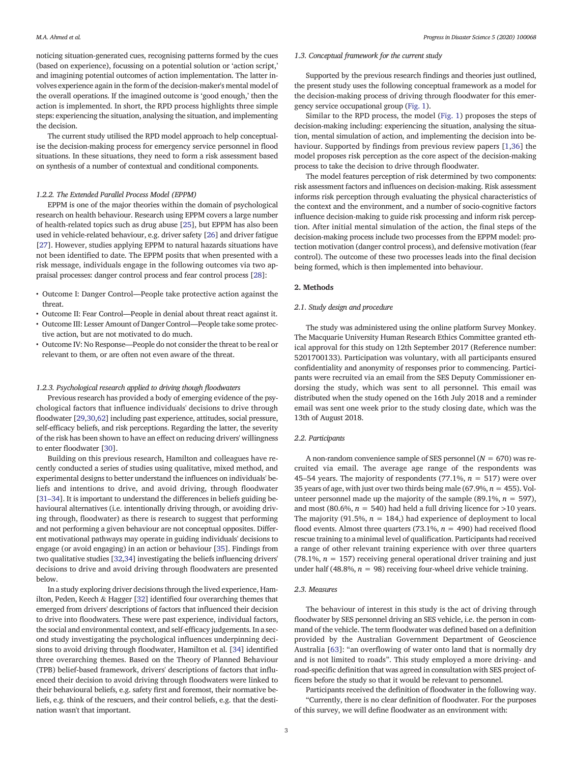noticing situation-generated cues, recognising patterns formed by the cues (based on experience), focussing on a potential solution or 'action script,' and imagining potential outcomes of action implementation. The latter involves experience again in the form of the decision-maker's mental model of the overall operations. If the imagined outcome is 'good enough,' then the action is implemented. In short, the RPD process highlights three simple steps: experiencing the situation, analysing the situation, and implementing the decision.

The current study utilised the RPD model approach to help conceptualise the decision-making process for emergency service personnel in flood situations. In these situations, they need to form a risk assessment based on synthesis of a number of contextual and conditional components.

### 1.2.2. The Extended Parallel Process Model (EPPM)

EPPM is one of the major theories within the domain of psychological research on health behaviour. Research using EPPM covers a large number of health-related topics such as drug abuse [\[25](#page-12-0)], but EPPM has also been used in vehicle-related behaviour, e.g. driver safety [\[26\]](#page-12-0) and driver fatigue [[27\]](#page-12-0). However, studies applying EPPM to natural hazards situations have not been identified to date. The EPPM posits that when presented with a risk message, individuals engage in the following outcomes via two appraisal processes: danger control process and fear control process [[28](#page-12-0)]:

- Outcome I: Danger Control—People take protective action against the threat.
- Outcome II: Fear Control—People in denial about threat react against it.
- Outcome III: Lesser Amount of Danger Control—People take some protective action, but are not motivated to do much.
- Outcome IV: No Response—People do not consider the threat to be real or relevant to them, or are often not even aware of the threat.

### 1.2.3. Psychological research applied to driving though floodwaters

Previous research has provided a body of emerging evidence of the psychological factors that influence individuals' decisions to drive through floodwater [\[29,30](#page-12-0)[,62\]](#page-13-0) including past experience, attitudes, social pressure, self-efficacy beliefs, and risk perceptions. Regarding the latter, the severity of the risk has been shown to have an effect on reducing drivers' willingness to enter floodwater [\[30](#page-12-0)].

Building on this previous research, Hamilton and colleagues have recently conducted a series of studies using qualitative, mixed method, and experimental designs to better understand the influences on individuals' beliefs and intentions to drive, and avoid driving, through floodwater [[31](#page-12-0)–34]. It is important to understand the differences in beliefs guiding behavioural alternatives (i.e. intentionally driving through, or avoiding driving through, floodwater) as there is research to suggest that performing and not performing a given behaviour are not conceptual opposites. Different motivational pathways may operate in guiding individuals' decisions to engage (or avoid engaging) in an action or behaviour [\[35\]](#page-12-0). Findings from two qualitative studies [\[32,34\]](#page-12-0) investigating the beliefs influencing drivers' decisions to drive and avoid driving through floodwaters are presented below.

In a study exploring driver decisions through the lived experience, Hamilton, Peden, Keech & Hagger [\[32](#page-12-0)] identified four overarching themes that emerged from drivers' descriptions of factors that influenced their decision to drive into floodwaters. These were past experience, individual factors, the social and environmental context, and self-efficacy judgements. In a second study investigating the psychological influences underpinning decisions to avoid driving through floodwater, Hamilton et al. [[34\]](#page-12-0) identified three overarching themes. Based on the Theory of Planned Behaviour (TPB) belief-based framework, drivers' descriptions of factors that influenced their decision to avoid driving through floodwaters were linked to their behavioural beliefs, e.g. safety first and foremost, their normative beliefs, e.g. think of the rescuers, and their control beliefs, e.g. that the destination wasn't that important.

## 1.3. Conceptual framework for the current study

Supported by the previous research findings and theories just outlined, the present study uses the following conceptual framework as a model for the decision-making process of driving through floodwater for this emergency service occupational group [\(Fig. 1](#page-3-0)).

Similar to the RPD process, the model [\(Fig. 1](#page-3-0)) proposes the steps of decision-making including: experiencing the situation, analysing the situation, mental simulation of action, and implementing the decision into behaviour. Supported by findings from previous review papers [[1,36\]](#page-12-0) the model proposes risk perception as the core aspect of the decision-making process to take the decision to drive through floodwater.

The model features perception of risk determined by two components: risk assessment factors and influences on decision-making. Risk assessment informs risk perception through evaluating the physical characteristics of the context and the environment, and a number of socio-cognitive factors influence decision-making to guide risk processing and inform risk perception. After initial mental simulation of the action, the final steps of the decision-making process include two processes from the EPPM model: protection motivation (danger control process), and defensive motivation (fear control). The outcome of these two processes leads into the final decision being formed, which is then implemented into behaviour.

#### 2. Methods

## 2.1. Study design and procedure

The study was administered using the online platform Survey Monkey. The Macquarie University Human Research Ethics Committee granted ethical approval for this study on 12th September 2017 (Reference number: 5201700133). Participation was voluntary, with all participants ensured confidentiality and anonymity of responses prior to commencing. Participants were recruited via an email from the SES Deputy Commissioner endorsing the study, which was sent to all personnel. This email was distributed when the study opened on the 16th July 2018 and a reminder email was sent one week prior to the study closing date, which was the 13th of August 2018.

## 2.2. Participants

A non-random convenience sample of SES personnel ( $N = 670$ ) was recruited via email. The average age range of the respondents was 45–54 years. The majority of respondents (77.1%,  $n = 517$ ) were over 35 years of age, with just over two thirds being male (67.9%,  $n = 455$ ). Volunteer personnel made up the majority of the sample (89.1%,  $n = 597$ ), and most (80.6%,  $n = 540$ ) had held a full driving licence for >10 years. The majority (91.5%,  $n = 184$ ,) had experience of deployment to local flood events. Almost three quarters (73.1%,  $n = 490$ ) had received flood rescue training to a minimal level of qualification. Participants had received a range of other relevant training experience with over three quarters (78.1%,  $n = 157$ ) receiving general operational driver training and just under half (48.8%,  $n = 98$ ) receiving four-wheel drive vehicle training.

## 2.3. Measures

The behaviour of interest in this study is the act of driving through floodwater by SES personnel driving an SES vehicle, i.e. the person in command of the vehicle. The term floodwater was defined based on a definition provided by the Australian Government Department of Geoscience Australia [[63\]](#page-13-0): "an overflowing of water onto land that is normally dry and is not limited to roads". This study employed a more driving- and road-specific definition that was agreed in consultation with SES project officers before the study so that it would be relevant to personnel.

Participants received the definition of floodwater in the following way. "Currently, there is no clear definition of floodwater. For the purposes of this survey, we will define floodwater as an environment with: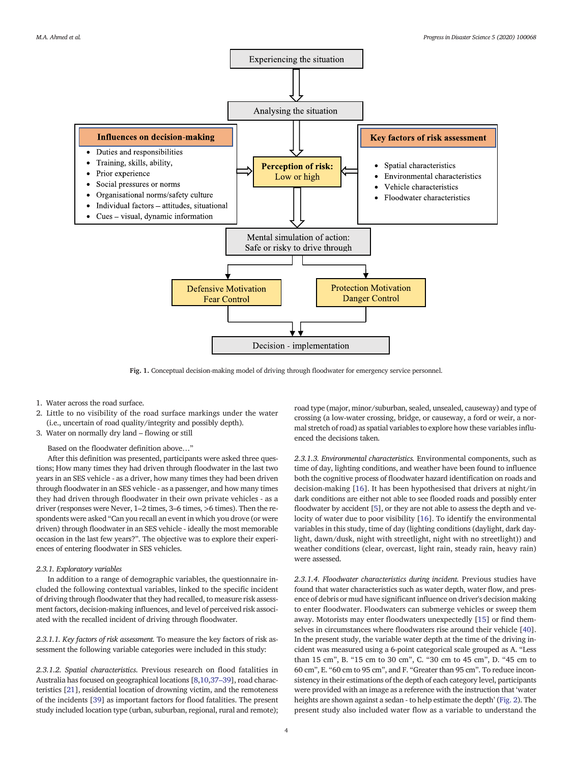<span id="page-3-0"></span>

Fig. 1. Conceptual decision-making model of driving through floodwater for emergency service personnel.

- 1. Water across the road surface.
- 2. Little to no visibility of the road surface markings under the water (i.e., uncertain of road quality/integrity and possibly depth).
- 3. Water on normally dry land flowing or still

Based on the floodwater definition above…"

After this definition was presented, participants were asked three questions; How many times they had driven through floodwater in the last two years in an SES vehicle - as a driver, how many times they had been driven through floodwater in an SES vehicle - as a passenger, and how many times they had driven through floodwater in their own private vehicles - as a driver (responses were Never, 1–2 times, 3–6 times, >6 times). Then the respondents were asked "Can you recall an event in which you drove (or were driven) through floodwater in an SES vehicle - ideally the most memorable occasion in the last few years?". The objective was to explore their experiences of entering floodwater in SES vehicles.

#### 2.3.1. Exploratory variables

In addition to a range of demographic variables, the questionnaire included the following contextual variables, linked to the specific incident of driving through floodwater that they had recalled, to measure risk assessment factors, decision-making influences, and level of perceived risk associated with the recalled incident of driving through floodwater.

2.3.1.1. Key factors of risk assessment. To measure the key factors of risk assessment the following variable categories were included in this study:

2.3.1.2. Spatial characteristics. Previous research on flood fatalities in Australia has focused on geographical locations [[8,10,37](#page-12-0)–39], road characteristics [\[21](#page-12-0)], residential location of drowning victim, and the remoteness of the incidents [[39\]](#page-12-0) as important factors for flood fatalities. The present study included location type (urban, suburban, regional, rural and remote); road type (major, minor/suburban, sealed, unsealed, causeway) and type of crossing (a low-water crossing, bridge, or causeway, a ford or weir, a normal stretch of road) as spatial variables to explore how these variables influenced the decisions taken.

2.3.1.3. Environmental characteristics. Environmental components, such as time of day, lighting conditions, and weather have been found to influence both the cognitive process of floodwater hazard identification on roads and decision-making [[16\]](#page-12-0). It has been hypothesised that drivers at night/in dark conditions are either not able to see flooded roads and possibly enter floodwater by accident [[5](#page-12-0)], or they are not able to assess the depth and velocity of water due to poor visibility [[16\]](#page-12-0). To identify the environmental variables in this study, time of day (lighting conditions (daylight, dark daylight, dawn/dusk, night with streetlight, night with no streetlight)) and weather conditions (clear, overcast, light rain, steady rain, heavy rain) were assessed.

2.3.1.4. Floodwater characteristics during incident. Previous studies have found that water characteristics such as water depth, water flow, and presence of debris or mud have significant influence on driver's decision making to enter floodwater. Floodwaters can submerge vehicles or sweep them away. Motorists may enter floodwaters unexpectedly [[15\]](#page-12-0) or find themselves in circumstances where floodwaters rise around their vehicle [\[40](#page-12-0)]. In the present study, the variable water depth at the time of the driving incident was measured using a 6-point categorical scale grouped as A. "Less than 15 cm", B. "15 cm to 30 cm", C. "30 cm to 45 cm", D. "45 cm to 60 cm", E. "60 cm to 95 cm", and F. "Greater than 95 cm". To reduce inconsistency in their estimations of the depth of each category level, participants were provided with an image as a reference with the instruction that 'water heights are shown against a sedan - to help estimate the depth' [\(Fig. 2](#page-4-0)). The present study also included water flow as a variable to understand the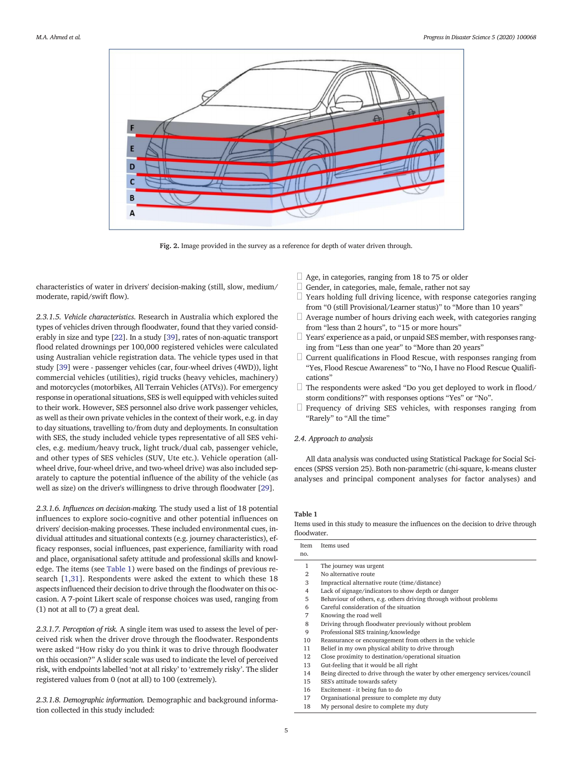<span id="page-4-0"></span>

Fig. 2. Image provided in the survey as a reference for depth of water driven through.

characteristics of water in drivers' decision-making (still, slow, medium/ moderate, rapid/swift flow).

2.3.1.5. Vehicle characteristics. Research in Australia which explored the types of vehicles driven through floodwater, found that they varied considerably in size and type [[22\]](#page-12-0). In a study [\[39\]](#page-12-0), rates of non-aquatic transport flood related drownings per 100,000 registered vehicles were calculated using Australian vehicle registration data. The vehicle types used in that study [\[39](#page-12-0)] were - passenger vehicles (car, four-wheel drives (4WD)), light commercial vehicles (utilities), rigid trucks (heavy vehicles, machinery) and motorcycles (motorbikes, All Terrain Vehicles (ATVs)). For emergency response in operational situations, SES is well equipped with vehicles suited to their work. However, SES personnel also drive work passenger vehicles, as well as their own private vehicles in the context of their work, e.g. in day to day situations, travelling to/from duty and deployments. In consultation with SES, the study included vehicle types representative of all SES vehicles, e.g. medium/heavy truck, light truck/dual cab, passenger vehicle, and other types of SES vehicles (SUV, Ute etc.). Vehicle operation (allwheel drive, four-wheel drive, and two-wheel drive) was also included separately to capture the potential influence of the ability of the vehicle (as well as size) on the driver's willingness to drive through floodwater [\[29](#page-12-0)].

2.3.1.6. Influences on decision-making. The study used a list of 18 potential influences to explore socio-cognitive and other potential influences on drivers' decision-making processes. These included environmental cues, individual attitudes and situational contexts (e.g. journey characteristics), efficacy responses, social influences, past experience, familiarity with road and place, organisational safety attitude and professional skills and knowledge. The items (see Table 1) were based on the findings of previous research [[1](#page-12-0),[31\]](#page-12-0). Respondents were asked the extent to which these 18 aspects influenced their decision to drive through the floodwater on this occasion. A 7-point Likert scale of response choices was used, ranging from (1) not at all to (7) a great deal.

2.3.1.7. Perception of risk. A single item was used to assess the level of perceived risk when the driver drove through the floodwater. Respondents were asked "How risky do you think it was to drive through floodwater on this occasion?" A slider scale was used to indicate the level of perceived risk, with endpoints labelled 'not at all risky' to 'extremely risky'. The slider registered values from 0 (not at all) to 100 (extremely).

2.3.1.8. Demographic information. Demographic and background information collected in this study included:

- $\Box$  Age, in categories, ranging from 18 to 75 or older
- $\Box$  Gender, in categories, male, female, rather not say
- $\Box$  Years holding full driving licence, with response categories ranging from "0 (still Provisional/Learner status)" to "More than 10 years"
- $\Box$  Average number of hours driving each week, with categories ranging from "less than 2 hours", to "15 or more hours"
- $\Box$  Years' experience as a paid, or unpaid SES member, with responses ranging from "Less than one year" to "More than 20 years"
- $\Box$  Current qualifications in Flood Rescue, with responses ranging from "Yes, Flood Rescue Awareness" to "No, I have no Flood Rescue Qualifications"
- $\Box$  The respondents were asked "Do you get deployed to work in flood/ storm conditions?" with responses options "Yes" or "No".
- $\Box$  Frequency of driving SES vehicles, with responses ranging from "Rarely" to "All the time"

## 2.4. Approach to analysis

All data analysis was conducted using Statistical Package for Social Sciences (SPSS version 25). Both non-parametric (chi-square, k-means cluster analyses and principal component analyses for factor analyses) and

## Table 1

Items used in this study to measure the influences on the decision to drive through floodwater.

| Item | Items used                                                                    |
|------|-------------------------------------------------------------------------------|
| no.  |                                                                               |
| 1    | The journey was urgent                                                        |
| 2    | No alternative route                                                          |
| 3    | Impractical alternative route (time/distance)                                 |
| 4    | Lack of signage/indicators to show depth or danger                            |
| 5    | Behaviour of others, e.g. others driving through without problems             |
| 6    | Careful consideration of the situation                                        |
| 7    | Knowing the road well                                                         |
| 8    | Driving through floodwater previously without problem                         |
| 9    | Professional SES training/knowledge                                           |
| 10   | Reassurance or encouragement from others in the vehicle                       |
| 11   | Belief in my own physical ability to drive through                            |
| 12   | Close proximity to destination/operational situation                          |
| 13   | Gut-feeling that it would be all right                                        |
| 14   | Being directed to drive through the water by other emergency services/council |
| 15   | SES's attitude towards safety                                                 |
| 16   | Excitement - it being fun to do                                               |
| 17   | Organisational pressure to complete my duty                                   |
| 18   | My personal desire to complete my duty                                        |
|      |                                                                               |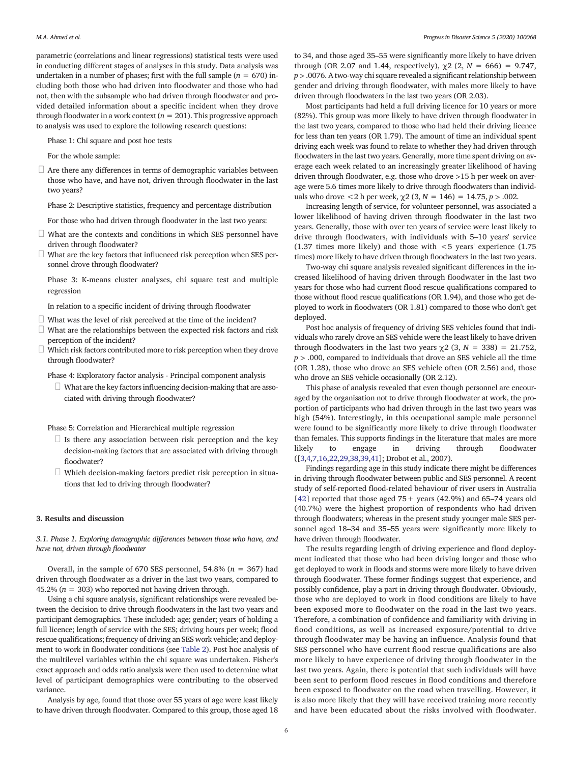parametric (correlations and linear regressions) statistical tests were used in conducting different stages of analyses in this study. Data analysis was undertaken in a number of phases; first with the full sample ( $n = 670$ ) including both those who had driven into floodwater and those who had not, then with the subsample who had driven through floodwater and provided detailed information about a specific incident when they drove through floodwater in a work context ( $n = 201$ ). This progressive approach to analysis was used to explore the following research questions:

Phase 1: Chi square and post hoc tests

For the whole sample:

 $\Box$  Are there any differences in terms of demographic variables between those who have, and have not, driven through floodwater in the last two years?

Phase 2: Descriptive statistics, frequency and percentage distribution

For those who had driven through floodwater in the last two years:

- $\Box$  What are the contexts and conditions in which SES personnel have driven through floodwater?
- $\Box$  What are the key factors that influenced risk perception when SES personnel drove through floodwater?

Phase 3: K-means cluster analyses, chi square test and multiple regression

In relation to a specific incident of driving through floodwater

- $\Box$  What was the level of risk perceived at the time of the incident?
- $\Box$  What are the relationships between the expected risk factors and risk perception of the incident?
- $\Box$  Which risk factors contributed more to risk perception when they drove through floodwater?

Phase 4: Exploratory factor analysis - Principal component analysis

 $\Box$  What are the key factors influencing decision-making that are associated with driving through floodwater?

Phase 5: Correlation and Hierarchical multiple regression

- $\Box$  Is there any association between risk perception and the key decision-making factors that are associated with driving through floodwater?
- $\Box$  Which decision-making factors predict risk perception in situations that led to driving through floodwater?

### 3. Results and discussion

3.1. Phase 1. Exploring demographic differences between those who have, and have not, driven through floodwater

Overall, in the sample of 670 SES personnel, 54.8% ( $n = 367$ ) had driven through floodwater as a driver in the last two years, compared to 45.2% ( $n = 303$ ) who reported not having driven through.

Using a chi square analysis, significant relationships were revealed between the decision to drive through floodwaters in the last two years and participant demographics. These included: age; gender; years of holding a full licence; length of service with the SES; driving hours per week; flood rescue qualifications; frequency of driving an SES work vehicle; and deployment to work in floodwater conditions (see [Table 2](#page-6-0)). Post hoc analysis of the multilevel variables within the chi square was undertaken. Fisher's exact approach and odds ratio analysis were then used to determine what level of participant demographics were contributing to the observed variance.

Analysis by age, found that those over 55 years of age were least likely to have driven through floodwater. Compared to this group, those aged 18 to 34, and those aged 35–55 were significantly more likely to have driven through (OR 2.07 and 1.44, respectively),  $\chi$ 2 (2, N = 666) = 9.747,  $p$  > .0076. A two-way chi square revealed a significant relationship between gender and driving through floodwater, with males more likely to have driven through floodwaters in the last two years (OR 2.03).

Most participants had held a full driving licence for 10 years or more (82%). This group was more likely to have driven through floodwater in the last two years, compared to those who had held their driving licence for less than ten years (OR 1.79). The amount of time an individual spent driving each week was found to relate to whether they had driven through floodwaters in the last two years. Generally, more time spent driving on average each week related to an increasingly greater likelihood of having driven through floodwater, e.g. those who drove >15 h per week on average were 5.6 times more likely to drive through floodwaters than individuals who drove  $\langle 2 \rangle$  h per week,  $\gamma$ 2 (3, N = 146) = 14.75, p  $> .002$ .

Increasing length of service, for volunteer personnel, was associated a lower likelihood of having driven through floodwater in the last two years. Generally, those with over ten years of service were least likely to drive through floodwaters, with individuals with 5–10 years' service (1.37 times more likely) and those with  $\lt$  5 years' experience (1.75 times) more likely to have driven through floodwaters in the last two years.

Two-way chi square analysis revealed significant differences in the increased likelihood of having driven through floodwater in the last two years for those who had current flood rescue qualifications compared to those without flood rescue qualifications (OR 1.94), and those who get deployed to work in floodwaters (OR 1.81) compared to those who don't get deployed.

Post hoc analysis of frequency of driving SES vehicles found that individuals who rarely drove an SES vehicle were the least likely to have driven through floodwaters in the last two years  $\chi$ 2 (3, N = 338) = 21.752,  $p > .000$ , compared to individuals that drove an SES vehicle all the time (OR 1.28), those who drove an SES vehicle often (OR 2.56) and, those who drove an SES vehicle occasionally (OR 2.12).

This phase of analysis revealed that even though personnel are encouraged by the organisation not to drive through floodwater at work, the proportion of participants who had driven through in the last two years was high (54%). Interestingly, in this occupational sample male personnel were found to be significantly more likely to drive through floodwater than females. This supports findings in the literature that males are more likely to engage in driving through floodwater ([\[3,4,7,16,22,29,38,39,41](#page-12-0)]; Drobot et al., 2007).

Findings regarding age in this study indicate there might be differences in driving through floodwater between public and SES personnel. A recent study of self-reported flood-related behaviour of river users in Australia [\[42\]](#page-13-0) reported that those aged  $75+$  years (42.9%) and 65-74 years old (40.7%) were the highest proportion of respondents who had driven through floodwaters; whereas in the present study younger male SES personnel aged 18–34 and 35–55 years were significantly more likely to have driven through floodwater.

The results regarding length of driving experience and flood deployment indicated that those who had been driving longer and those who get deployed to work in floods and storms were more likely to have driven through floodwater. These former findings suggest that experience, and possibly confidence, play a part in driving through floodwater. Obviously, those who are deployed to work in flood conditions are likely to have been exposed more to floodwater on the road in the last two years. Therefore, a combination of confidence and familiarity with driving in flood conditions, as well as increased exposure/potential to drive through floodwater may be having an influence. Analysis found that SES personnel who have current flood rescue qualifications are also more likely to have experience of driving through floodwater in the last two years. Again, there is potential that such individuals will have been sent to perform flood rescues in flood conditions and therefore been exposed to floodwater on the road when travelling. However, it is also more likely that they will have received training more recently and have been educated about the risks involved with floodwater.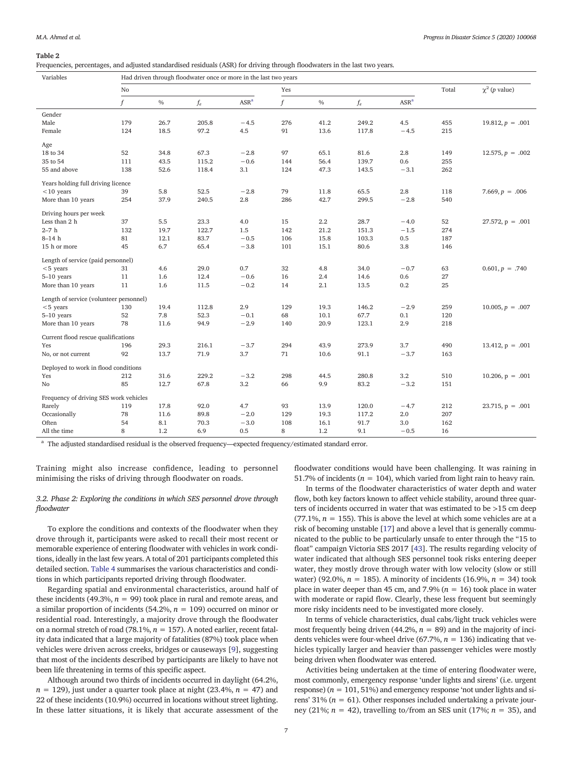<span id="page-6-0"></span>Frequencies, percentages, and adjusted standardised residuals (ASR) for driving through floodwaters in the last two years.

| Variables                               |     | Had driven through floodwater once or more in the last two years |       |                  |     |               |       |                  |                            |                       |
|-----------------------------------------|-----|------------------------------------------------------------------|-------|------------------|-----|---------------|-------|------------------|----------------------------|-----------------------|
|                                         | No  |                                                                  |       |                  | Yes |               |       | Total            | $\chi^2$ ( <i>p</i> value) |                       |
|                                         | f   | $0\!/\!_0$                                                       | $f_e$ | ASR <sup>a</sup> | f   | $\sqrt[0]{0}$ | $f_e$ | ASR <sup>a</sup> |                            |                       |
| Gender                                  |     |                                                                  |       |                  |     |               |       |                  |                            |                       |
| Male                                    | 179 | 26.7                                                             | 205.8 | $-4.5$           | 276 | 41.2          | 249.2 | 4.5              | 455                        | $19.812, p = .001$    |
| Female                                  | 124 | 18.5                                                             | 97.2  | 4.5              | 91  | 13.6          | 117.8 | $-4.5$           | 215                        |                       |
| Age                                     |     |                                                                  |       |                  |     |               |       |                  |                            |                       |
| 18 to 34                                | 52  | 34.8                                                             | 67.3  | $-2.8$           | 97  | 65.1          | 81.6  | 2.8              | 149                        | $12.575, p = .002$    |
| 35 to 54                                | 111 | 43.5                                                             | 115.2 | $-0.6$           | 144 | 56.4          | 139.7 | 0.6              | 255                        |                       |
| 55 and above                            | 138 | 52.6                                                             | 118.4 | 3.1              | 124 | 47.3          | 143.5 | $-3.1$           | 262                        |                       |
| Years holding full driving licence      |     |                                                                  |       |                  |     |               |       |                  |                            |                       |
| $<$ 10 years                            | 39  | 5.8                                                              | 52.5  | $-2.8$           | 79  | 11.8          | 65.5  | $2.8\,$          | 118                        | $7.669, p = .006$     |
| More than 10 years                      | 254 | 37.9                                                             | 240.5 | 2.8              | 286 | 42.7          | 299.5 | $-2.8$           | 540                        |                       |
| Driving hours per week                  |     |                                                                  |       |                  |     |               |       |                  |                            |                       |
| Less than 2 h                           | 37  | 5.5                                                              | 23.3  | 4.0              | 15  | 2.2           | 28.7  | $-4.0$           | 52                         | $27.572$ , $p = .001$ |
| $2-7h$                                  | 132 | 19.7                                                             | 122.7 | 1.5              | 142 | 21.2          | 151.3 | $-1.5$           | 274                        |                       |
| $8-14$ h                                | 81  | 12.1                                                             | 83.7  | $-0.5$           | 106 | 15.8          | 103.3 | 0.5              | 187                        |                       |
| 15 h or more                            | 45  | 6.7                                                              | 65.4  | $-3.8$           | 101 | 15.1          | 80.6  | 3.8              | 146                        |                       |
| Length of service (paid personnel)      |     |                                                                  |       |                  |     |               |       |                  |                            |                       |
| $< 5$ years                             | 31  | 4.6                                                              | 29.0  | 0.7              | 32  | 4.8           | 34.0  | $-0.7$           | 63                         | $0.601, p = .740$     |
| $5-10$ years                            | 11  | 1.6                                                              | 12.4  | $-0.6$           | 16  | 2.4           | 14.6  | 0.6              | 27                         |                       |
| More than 10 years                      | 11  | 1.6                                                              | 11.5  | $-0.2$           | 14  | 2.1           | 13.5  | 0.2              | 25                         |                       |
| Length of service (volunteer personnel) |     |                                                                  |       |                  |     |               |       |                  |                            |                       |
| $< 5$ years                             | 130 | 19.4                                                             | 112.8 | 2.9              | 129 | 19.3          | 146.2 | $-2.9$           | 259                        | $10.005, p = .007$    |
| 5-10 years                              | 52  | 7.8                                                              | 52.3  | $-0.1$           | 68  | 10.1          | 67.7  | 0.1              | 120                        |                       |
| More than 10 years                      | 78  | 11.6                                                             | 94.9  | $-2.9$           | 140 | 20.9          | 123.1 | 2.9              | 218                        |                       |
| Current flood rescue qualifications     |     |                                                                  |       |                  |     |               |       |                  |                            |                       |
| Yes                                     | 196 | 29.3                                                             | 216.1 | $-3.7$           | 294 | 43.9          | 273.9 | 3.7              | 490                        | $13.412$ , $p = .001$ |
| No, or not current                      | 92  | 13.7                                                             | 71.9  | 3.7              | 71  | 10.6          | 91.1  | $-3.7$           | 163                        |                       |
| Deployed to work in flood conditions    |     |                                                                  |       |                  |     |               |       |                  |                            |                       |
| Yes                                     | 212 | 31.6                                                             | 229.2 | $-3.2$           | 298 | 44.5          | 280.8 | 3.2              | 510                        | $10.206$ , $p = .001$ |
| No                                      | 85  | 12.7                                                             | 67.8  | 3.2              | 66  | 9.9           | 83.2  | $-3.2$           | 151                        |                       |
| Frequency of driving SES work vehicles  |     |                                                                  |       |                  |     |               |       |                  |                            |                       |
| Rarely                                  | 119 | 17.8                                                             | 92.0  | 4.7              | 93  | 13.9          | 120.0 | $-4.7$           | 212                        | $23.715$ , $p = .001$ |
| Occasionally                            | 78  | 11.6                                                             | 89.8  | $-2.0$           | 129 | 19.3          | 117.2 | 2.0              | 207                        |                       |
| Often                                   | 54  | 8.1                                                              | 70.3  | $-3.0$           | 108 | 16.1          | 91.7  | 3.0              | 162                        |                       |
| All the time                            | 8   | 1.2                                                              | 6.9   | 0.5              | 8   | 1.2           | 9.1   | $-0.5$           | 16                         |                       |
|                                         |     |                                                                  |       |                  |     |               |       |                  |                            |                       |

<sup>a</sup> The adjusted standardised residual is the observed frequency—expected frequency/estimated standard error.

Training might also increase confidence, leading to personnel minimising the risks of driving through floodwater on roads.

3.2. Phase 2: Exploring the conditions in which SES personnel drove through floodwater

To explore the conditions and contexts of the floodwater when they drove through it, participants were asked to recall their most recent or memorable experience of entering floodwater with vehicles in work conditions, ideally in the last few years. A total of 201 participants completed this detailed section. [Table 4](#page-8-0) summarises the various characteristics and conditions in which participants reported driving through floodwater.

Regarding spatial and environmental characteristics, around half of these incidents (49.3%,  $n = 99$ ) took place in rural and remote areas, and a similar proportion of incidents (54.2%,  $n = 109$ ) occurred on minor or residential road. Interestingly, a majority drove through the floodwater on a normal stretch of road (78.1%,  $n = 157$ ). A noted earlier, recent fatality data indicated that a large majority of fatalities (87%) took place when vehicles were driven across creeks, bridges or causeways [[9\]](#page-12-0), suggesting that most of the incidents described by participants are likely to have not been life threatening in terms of this specific aspect.

Although around two thirds of incidents occurred in daylight (64.2%,  $n = 129$ ), just under a quarter took place at night (23.4%,  $n = 47$ ) and 22 of these incidents (10.9%) occurred in locations without street lighting. In these latter situations, it is likely that accurate assessment of the

floodwater conditions would have been challenging. It was raining in 51.7% of incidents ( $n = 104$ ), which varied from light rain to heavy rain.

In terms of the floodwater characteristics of water depth and water flow, both key factors known to affect vehicle stability, around three quarters of incidents occurred in water that was estimated to be >15 cm deep (77.1%,  $n = 155$ ). This is above the level at which some vehicles are at a risk of becoming unstable [\[17](#page-12-0)] and above a level that is generally communicated to the public to be particularly unsafe to enter through the "15 to float" campaign Victoria SES 2017 [\[43](#page-13-0)]. The results regarding velocity of water indicated that although SES personnel took risks entering deeper water, they mostly drove through water with low velocity (slow or still water) (92.0%,  $n = 185$ ). A minority of incidents (16.9%,  $n = 34$ ) took place in water deeper than 45 cm, and 7.9% ( $n = 16$ ) took place in water with moderate or rapid flow. Clearly, these less frequent but seemingly more risky incidents need to be investigated more closely.

In terms of vehicle characteristics, dual cabs/light truck vehicles were most frequently being driven (44.2%,  $n = 89$ ) and in the majority of incidents vehicles were four-wheel drive (67.7%,  $n = 136$ ) indicating that vehicles typically larger and heavier than passenger vehicles were mostly being driven when floodwater was entered.

Activities being undertaken at the time of entering floodwater were, most commonly, emergency response 'under lights and sirens' (i.e. urgent response)  $(n = 101, 51\%)$  and emergency response 'not under lights and sirens' 31% ( $n = 61$ ). Other responses included undertaking a private journey (21%;  $n = 42$ ), travelling to/from an SES unit (17%;  $n = 35$ ), and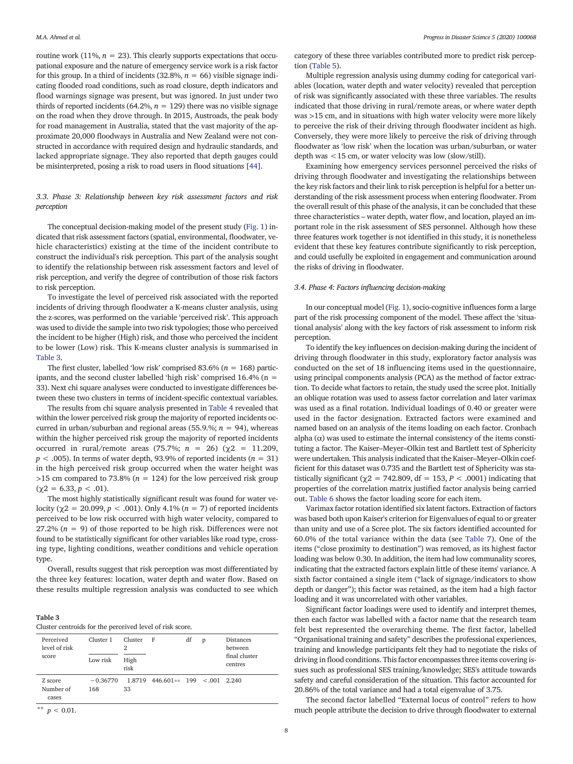routine work (11%,  $n = 23$ ). This clearly supports expectations that occupational exposure and the nature of emergency service work is a risk factor for this group. In a third of incidents (32.8%,  $n = 66$ ) visible signage indicating flooded road conditions, such as road closure, depth indicators and flood warnings signage was present, but was ignored. In just under two thirds of reported incidents (64.2%,  $n = 129$ ) there was no visible signage on the road when they drove through. In 2015, Austroads, the peak body for road management in Australia, stated that the vast majority of the approximate 20,000 floodways in Australia and New Zealand were not constructed in accordance with required design and hydraulic standards, and lacked appropriate signage. They also reported that depth gauges could be misinterpreted, posing a risk to road users in flood situations [\[44\]](#page-13-0).

## 3.3. Phase 3: Relationship between key risk assessment factors and risk perception

The conceptual decision-making model of the present study [\(Fig. 1](#page-3-0)) indicated that risk assessment factors (spatial, environmental, floodwater, vehicle characteristics) existing at the time of the incident contribute to construct the individual's risk perception. This part of the analysis sought to identify the relationship between risk assessment factors and level of risk perception, and verify the degree of contribution of those risk factors to risk perception.

To investigate the level of perceived risk associated with the reported incidents of driving through floodwater a K-means cluster analysis, using the z-scores, was performed on the variable 'perceived risk'. This approach was used to divide the sample into two risk typologies; those who perceived the incident to be higher (High) risk, and those who perceived the incident to be lower (Low) risk. This K-means cluster analysis is summarised in Table 3.

The first cluster, labelled 'low risk' comprised 83.6% ( $n = 168$ ) participants, and the second cluster labelled 'high risk' comprised 16.4% (n = 33). Next chi square analyses were conducted to investigate differences between these two clusters in terms of incident-specific contextual variables.

The results from chi square analysis presented in [Table 4](#page-8-0) revealed that within the lower perceived risk group the majority of reported incidents occurred in urban/suburban and regional areas (55.9.%;  $n = 94$ ), whereas within the higher perceived risk group the majority of reported incidents occurred in rural/remote areas (75.7%;  $n = 26$ ) ( $\gamma$ 2 = 11.209,  $p < .005$ ). In terms of water depth, 93.9% of reported incidents ( $n = 31$ ) in the high perceived risk group occurred when the water height was  $>15$  cm compared to 73.8% ( $n = 124$ ) for the low perceived risk group  $(\chi 2 = 6.33, p < .01).$ 

The most highly statistically significant result was found for water velocity (χ2 = 20.099,  $p < .001$ ). Only 4.1% ( $n = 7$ ) of reported incidents perceived to be low risk occurred with high water velocity, compared to 27.2% ( $n = 9$ ) of those reported to be high risk. Differences were not found to be statistically significant for other variables like road type, crossing type, lighting conditions, weather conditions and vehicle operation type.

Overall, results suggest that risk perception was most differentiated by the three key features: location, water depth and water flow. Based on these results multiple regression analysis was conducted to see which

## Table 3

|  | Cluster centroids for the perceived level of risk score. |  |
|--|----------------------------------------------------------|--|
|--|----------------------------------------------------------|--|

| Perceived<br>level of risk<br>score | Cluster 1<br>Low risk | Cluster<br>2<br>High<br>risk | F                                  | df | p | <b>Distances</b><br>between<br>final cluster<br>centres |
|-------------------------------------|-----------------------|------------------------------|------------------------------------|----|---|---------------------------------------------------------|
| Z score<br>Number of<br>cases       | $-0.36770$<br>168     | 33                           | $1.8719$ 446.601** 199 < 001 2.240 |    |   |                                                         |

\*\*  $p < 0.01$ .

category of these three variables contributed more to predict risk perception ([Table 5\)](#page-8-0).

Multiple regression analysis using dummy coding for categorical variables (location, water depth and water velocity) revealed that perception of risk was significantly associated with these three variables. The results indicated that those driving in rural/remote areas, or where water depth was >15 cm, and in situations with high water velocity were more likely to perceive the risk of their driving through floodwater incident as high. Conversely, they were more likely to perceive the risk of driving through floodwater as 'low risk' when the location was urban/suburban, or water depth was <15 cm, or water velocity was low (slow/still).

Examining how emergency services personnel perceived the risks of driving through floodwater and investigating the relationships between the key risk factors and their link to risk perception is helpful for a better understanding of the risk assessment process when entering floodwater. From the overall result of this phase of the analysis, it can be concluded that these three characteristics – water depth, water flow, and location, played an important role in the risk assessment of SES personnel. Although how these three features work together is not identified in this study, it is nonetheless evident that these key features contribute significantly to risk perception, and could usefully be exploited in engagement and communication around the risks of driving in floodwater.

## 3.4. Phase 4: Factors influencing decision-making

In our conceptual model ([Fig. 1](#page-3-0)), socio-cognitive influences form a large part of the risk processing component of the model. These affect the 'situational analysis' along with the key factors of risk assessment to inform risk perception.

To identify the key influences on decision-making during the incident of driving through floodwater in this study, exploratory factor analysis was conducted on the set of 18 influencing items used in the questionnaire, using principal components analysis (PCA) as the method of factor extraction. To decide what factors to retain, the study used the scree plot. Initially an oblique rotation was used to assess factor correlation and later varimax was used as a final rotation. Individual loadings of 0.40 or greater were used in the factor designation. Extracted factors were examined and named based on an analysis of the items loading on each factor. Cronbach alpha  $(\alpha)$  was used to estimate the internal consistency of the items constituting a factor. The Kaiser–Meyer–Olkin test and Bartlett test of Sphericity were undertaken. This analysis indicated that the Kaiser–Meyer–Olkin coefficient for this dataset was 0.735 and the Bartlett test of Sphericity was statistically significant ( $\gamma$ 2 = 742.809, df = 153, P < .0001) indicating that properties of the correlation matrix justified factor analysis being carried out. [Table 6](#page-9-0) shows the factor loading score for each item.

Varimax factor rotation identified six latent factors. Extraction of factors was based both upon Kaiser's criterion for Eigenvalues of equal to or greater than unity and use of a Scree plot. The six factors identified accounted for 60.0% of the total variance within the data (see [Table 7\)](#page-9-0). One of the items ("close proximity to destination") was removed, as its highest factor loading was below 0.30. In addition, the item had low communality scores, indicating that the extracted factors explain little of these items' variance. A sixth factor contained a single item ("lack of signage/indicators to show depth or danger"); this factor was retained, as the item had a high factor loading and it was uncorrelated with other variables.

Significant factor loadings were used to identify and interpret themes, then each factor was labelled with a factor name that the research team felt best represented the overarching theme. The first factor, labelled "Organisational training and safety" describes the professional experiences, training and knowledge participants felt they had to negotiate the risks of driving in flood conditions. This factor encompasses three items covering issues such as professional SES training/knowledge; SES's attitude towards safety and careful consideration of the situation. This factor accounted for 20.86% of the total variance and had a total eigenvalue of 3.75.

The second factor labelled "External locus of control" refers to how much people attribute the decision to drive through floodwater to external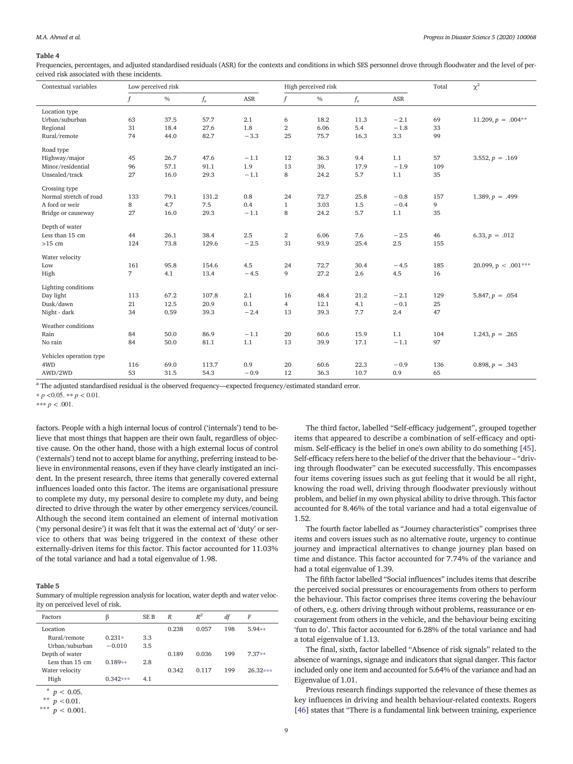<span id="page-8-0"></span>Frequencies, percentages, and adjusted standardised residuals (ASR) for the contexts and conditions in which SES personnel drove through floodwater and the level of perceived risk associated with these incidents.

| Contextual variables          | Low perceived risk     |       |        |                |      |       |        | Total | $\chi^2$              |
|-------------------------------|------------------------|-------|--------|----------------|------|-------|--------|-------|-----------------------|
| $\mathbf f$                   | $\frac{0}{0}$<br>$f_e$ |       | ASR    | f              | $\%$ | $f_e$ | ASR    |       |                       |
| Location type                 |                        |       |        |                |      |       |        |       |                       |
| Urban/suburban<br>63          | 37.5                   | 57.7  | 2.1    | 6              | 18.2 | 11.3  | $-2.1$ | 69    | $11.209, p = .004**$  |
| Regional<br>31                | 18.4                   | 27.6  | 1.8    | $\,2\,$        | 6.06 | 5.4   | $-1.8$ | 33    |                       |
| Rural/remote<br>74            | 44.0                   | 82.7  | $-3.3$ | 25             | 75.7 | 16.3  | 3.3    | 99    |                       |
| Road type                     |                        |       |        |                |      |       |        |       |                       |
| Highway/major<br>45           | 26.7                   | 47.6  | $-1.1$ | 12             | 36.3 | 9.4   | 1.1    | 57    | 3.552, $p = .169$     |
| Minor/residential<br>96       | 57.1                   | 91.1  | 1.9    | 13             | 39.  | 17.9  | $-1.9$ | 109   |                       |
| Unsealed/track<br>27          | 16.0                   | 29.3  | $-1.1$ | 8              | 24.2 | 5.7   | 1.1    | 35    |                       |
| Crossing type                 |                        |       |        |                |      |       |        |       |                       |
| Normal stretch of road<br>133 | 79.1                   | 131.2 | 0.8    | 24             | 72.7 | 25.8  | $-0.8$ | 157   | 1.389, $p = .499$     |
| A ford or weir<br>8           | 4.7                    | 7.5   | 0.4    | $\mathbf{1}$   | 3.03 | 1.5   | $-0.4$ | 9     |                       |
| 27<br>Bridge or causeway      | 16.0                   | 29.3  | $-1.1$ | 8              | 24.2 | 5.7   | 1.1    | 35    |                       |
| Depth of water                |                        |       |        |                |      |       |        |       |                       |
| Less than 15 cm<br>44         | 26.1                   | 38.4  | 2.5    | $\,2$          | 6.06 | 7.6   | $-2.5$ | 46    | 6.33, $p = .012$      |
| 124<br>$>15$ cm               | 73.8                   | 129.6 | $-2.5$ | 31             | 93.9 | 25.4  | 2.5    | 155   |                       |
| Water velocity                |                        |       |        |                |      |       |        |       |                       |
| 161<br>Low                    | 95.8                   | 154.6 | 4.5    | 24             | 72.7 | 30.4  | $-4.5$ | 185   | 20.099, $p < .001***$ |
| $\overline{7}$<br>High        | 4.1                    | 13.4  | $-4.5$ | 9              | 27.2 | 2.6   | 4.5    | 16    |                       |
| Lighting conditions           |                        |       |        |                |      |       |        |       |                       |
| Day light<br>113              | 67.2                   | 107.8 | 2.1    | 16             | 48.4 | 21.2  | $-2.1$ | 129   | $5.847, p = .054$     |
| Dusk/dawn<br>21               | 12.5                   | 20.9  | 0.1    | $\overline{4}$ | 12.1 | 4.1   | $-0.1$ | 25    |                       |
| 34<br>Night - dark            | 0.59                   | 39.3  | $-2.4$ | 13             | 39.3 | 7.7   | 2.4    | 47    |                       |
| Weather conditions            |                        |       |        |                |      |       |        |       |                       |
| Rain<br>84                    | 50.0                   | 86.9  | $-1.1$ | 20             | 60.6 | 15.9  | 1.1    | 104   | $1.243, p = .265$     |
| 84<br>No rain                 | 50.0                   | 81.1  | 1.1    | 13             | 39.9 | 17.1  | $-1.1$ | 97    |                       |
| Vehicles operation type       |                        |       |        |                |      |       |        |       |                       |
| 4WD<br>116                    |                        |       |        |                |      |       |        |       |                       |
|                               | 69.0                   | 113.7 | 0.9    | 20             | 60.6 | 22.3  | $-0.9$ | 136   | $0.898, p = .343$     |

<sup>a</sup> The adjusted standardised residual is the observed frequency—expected frequency/estimated standard error.

 $* p < 0.05$ .  $* p < 0.01$ .

 $*** p < .001$ .

factors. People with a high internal locus of control ('internals') tend to believe that most things that happen are their own fault, regardless of objective cause. On the other hand, those with a high external locus of control ('externals') tend not to accept blame for anything, preferring instead to believe in environmental reasons, even if they have clearly instigated an incident. In the present research, three items that generally covered external influences loaded onto this factor. The items are organisational pressure to complete my duty, my personal desire to complete my duty, and being directed to drive through the water by other emergency services/council. Although the second item contained an element of internal motivation ('my personal desire') it was felt that it was the external act of 'duty' or service to others that was being triggered in the context of these other externally-driven items for this factor. This factor accounted for 11.03% of the total variance and had a total eigenvalue of 1.98.

## Table 5

Summary of multiple regression analysis for location, water depth and water velocity on perceived level of risk.

| Factors         | β          | SE B | $\boldsymbol{R}$ | $R^2$ | df  | F          |
|-----------------|------------|------|------------------|-------|-----|------------|
| Location        |            |      | 0.238            | 0.057 | 198 | $5.94**$   |
| Rural/remote    | $0.231*$   | 3.3  |                  |       |     |            |
| Urban/suburban  | $-0.010$   | 3.5  |                  |       |     |            |
| Depth of water  |            |      | 0.189            | 0.036 | 199 | $7.37**$   |
| Less than 15 cm | $0.189**$  | 2.8  |                  |       |     |            |
| Water velocity  |            |      | 0.342            | 0.117 | 199 | $26.32***$ |
| High            | $0.342***$ | 4.1  |                  |       |     |            |

 $p < 0.05$ .

 $p < 0.01$ .

\*\*\*  $p < 0.001$ .

The third factor, labelled "Self-efficacy judgement", grouped together items that appeared to describe a combination of self-efficacy and optimism. Self-efficacy is the belief in one's own ability to do something [[45](#page-13-0)]. Self-efficacy refers here to the belief of the driver that the behaviour – "driving through floodwater" can be executed successfully. This encompasses four items covering issues such as gut feeling that it would be all right, knowing the road well, driving through floodwater previously without problem, and belief in my own physical ability to drive through. This factor accounted for 8.46% of the total variance and had a total eigenvalue of 1.52.

The fourth factor labelled as "Journey characteristics" comprises three items and covers issues such as no alternative route, urgency to continue journey and impractical alternatives to change journey plan based on time and distance. This factor accounted for 7.74% of the variance and had a total eigenvalue of 1.39.

The fifth factor labelled "Social influences" includes items that describe the perceived social pressures or encouragements from others to perform the behaviour. This factor comprises three items covering the behaviour of others, e.g. others driving through without problems, reassurance or encouragement from others in the vehicle, and the behaviour being exciting 'fun to do'. This factor accounted for 6.28% of the total variance and had a total eigenvalue of 1.13.

The final, sixth, factor labelled "Absence of risk signals" related to the absence of warnings, signage and indicators that signal danger. This factor included only one item and accounted for 5.64% of the variance and had an Eigenvalue of 1.01.

Previous research findings supported the relevance of these themes as key influences in driving and health behaviour-related contexts. Rogers [\[46](#page-13-0)] states that "There is a fundamental link between training, experience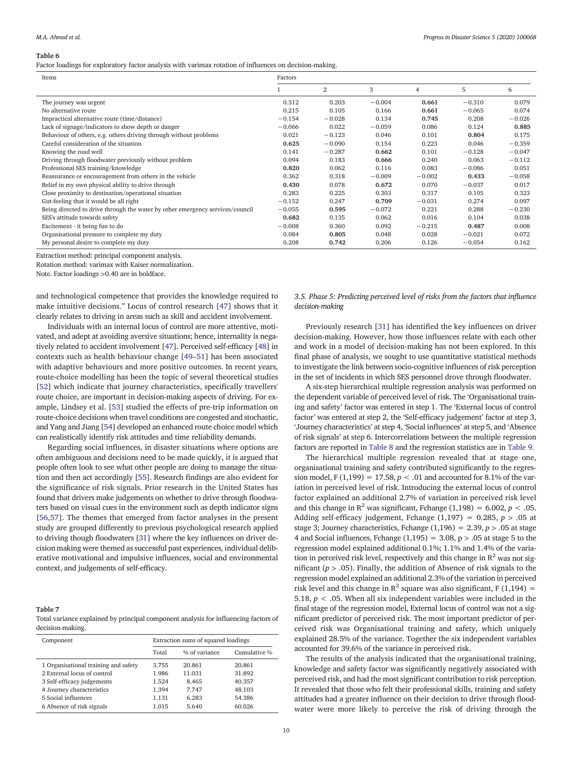<span id="page-9-0"></span>Factor loadings for exploratory factor analysis with varimax rotation of influences on decision-making.

| Items                                                                         | Factors  |                |          |          |          |          |
|-------------------------------------------------------------------------------|----------|----------------|----------|----------|----------|----------|
|                                                                               |          | $\overline{2}$ | 3        | 4        | 5        | 6        |
| The journey was urgent                                                        | 0.312    | 0.203          | $-0.004$ | 0.661    | $-0.310$ | 0.079    |
| No alternative route                                                          | 0.215    | 0.105          | 0.166    | 0.661    | $-0.065$ | 0.074    |
| Impractical alternative route (time/distance)                                 | $-0.154$ | $-0.028$       | 0.134    | 0.745    | 0.208    | $-0.026$ |
| Lack of signage/indicators to show depth or danger                            | $-0.066$ | 0.022          | $-0.059$ | 0.086    | 0.124    | 0.885    |
| Behaviour of others, e.g. others driving through without problems             | 0.021    | $-0.123$       | 0.046    | 0.101    | 0.804    | 0.175    |
| Careful consideration of the situation                                        | 0.625    | $-0.090$       | 0.154    | 0.223    | 0.046    | $-0.359$ |
| Knowing the road well                                                         | 0.141    | $-0.287$       | 0.662    | 0.101    | $-0.128$ | $-0.047$ |
| Driving through floodwater previously without problem                         | 0.094    | 0.183          | 0.666    | 0.240    | 0.063    | $-0.112$ |
| Professional SES training/knowledge                                           | 0.820    | 0.062          | 0.116    | 0.083    | $-0.086$ | 0.051    |
| Reassurance or encouragement from others in the vehicle                       | 0.362    | 0.318          | $-0.009$ | $-0.002$ | 0.433    | $-0.058$ |
| Belief in my own physical ability to drive through                            | 0.430    | 0.078          | 0.672    | 0.070    | $-0.037$ | 0.017    |
| Close proximity to destination/operational situation                          | 0.283    | 0.225          | 0.303    | 0.317    | 0.105    | 0.323    |
| Gut-feeling that it would be all right                                        | $-0.152$ | 0.247          | 0.709    | $-0.031$ | 0.274    | 0.097    |
| Being directed to drive through the water by other emergency services/council | $-0.055$ | 0.595          | $-0.072$ | 0.221    | 0.288    | $-0.230$ |
| SES's attitude towards safety                                                 | 0.682    | 0.135          | 0.062    | 0.016    | 0.104    | 0.038    |
| Excitement - it being fun to do                                               | $-0.008$ | 0.360          | 0.092    | $-0.215$ | 0.487    | 0.008    |
| Organisational pressure to complete my duty                                   | 0.084    | 0.805          | 0.048    | 0.028    | $-0.021$ | 0.072    |
| My personal desire to complete my duty                                        | 0.208    | 0.742          | 0.206    | 0.126    | $-0.054$ | 0.162    |

Extraction method: principal component analysis.

Rotation method: varimax with Kaiser normalization.

Note. Factor loadings >0.40 are in boldface.

and technological competence that provides the knowledge required to make intuitive decisions." Locus of control research [\[47](#page-13-0)] shows that it clearly relates to driving in areas such as skill and accident involvement.

Individuals with an internal locus of control are more attentive, motivated, and adept at avoiding aversive situations; hence, internality is negatively related to accident involvement [\[47](#page-13-0)]. Perceived self-efficacy [\[48](#page-13-0)] in contexts such as health behaviour change [49–[51\]](#page-13-0) has been associated with adaptive behaviours and more positive outcomes. In recent years, route-choice modelling has been the topic of several theoretical studies [[52](#page-13-0)] which indicate that journey characteristics, specifically travellers' route choice, are important in decision-making aspects of driving. For example, Lindsey et al. [\[53](#page-13-0)] studied the effects of pre-trip information on route-choice decisions when travel conditions are congested and stochastic, and Yang and Jiang [\[54\]](#page-13-0) developed an enhanced route choice model which can realistically identify risk attitudes and time reliability demands.

Regarding social influences, in disaster situations where options are often ambiguous and decisions need to be made quickly, it is argued that people often look to see what other people are doing to manage the situation and then act accordingly [[55](#page-13-0)]. Research findings are also evident for the significance of risk signals. Prior research in the United States has found that drivers make judgements on whether to drive through floodwaters based on visual cues in the environment such as depth indicator signs [[56,57](#page-13-0)]. The themes that emerged from factor analyses in the present study are grouped differently to previous psychological research applied to driving though floodwaters [\[31](#page-12-0)] where the key influences on driver decision making were themed as successful past experiences, individual deliberative motivational and impulsive influences, social and environmental context, and judgements of self-efficacy.

#### Table 7

Total variance explained by principal component analysis for influencing factors of decision-making.

| Component                            | Extraction sums of squared loadings |               |              |  |  |  |  |
|--------------------------------------|-------------------------------------|---------------|--------------|--|--|--|--|
|                                      | Total                               | % of variance | Cumulative % |  |  |  |  |
| 1 Organisational training and safety | 3.755                               | 20.861        | 20.861       |  |  |  |  |
| 2 External locus of control          | 1.986                               | 11.031        | 31.892       |  |  |  |  |
| 3 Self-efficacy judgements           | 1.524                               | 8.465         | 40.357       |  |  |  |  |
| 4 Journey characteristics            | 1.394                               | 7.747         | 48.103       |  |  |  |  |
| 5 Social influences                  | 1.131                               | 6.283         | 54.386       |  |  |  |  |
| 6 Absence of risk signals            | 1.015                               | 5.640         | 60.026       |  |  |  |  |

3.5. Phase 5: Predicting perceived level of risks from the factors that influence decision-making

Previously research [[31\]](#page-12-0) has identified the key influences on driver decision-making. However, how those influences relate with each other and work in a model of decision-making has not been explored. In this final phase of analysis, we sought to use quantitative statistical methods to investigate the link between socio-cognitive influences of risk perception in the set of incidents in which SES personnel drove through floodwater.

A six-step hierarchical multiple regression analysis was performed on the dependent variable of perceived level of risk. The 'Organisational training and safety' factor was entered in step 1. The 'External locus of control factor' was entered at step 2, the 'Self-efficacy judgement' factor at step 3, 'Journey characteristics' at step 4, 'Social influences' at step 5, and 'Absence of risk signals' at step 6. Intercorrelations between the multiple regression factors are reported in [Table 8](#page-10-0) and the regression statistics are in [Table 9](#page-10-0).

The hierarchical multiple regression revealed that at stage one, organisational training and safety contributed significantly to the regression model, F (1,199) = 17.58,  $p < .01$  and accounted for 8.1% of the variation in perceived level of risk. Introducing the external locus of control factor explained an additional 2.7% of variation in perceived risk level and this change in  $\mathbb{R}^2$  was significant, Fchange (1,198) = 6.002, p < .05. Adding self-efficacy judgement, Fchange  $(1,197) = 0.285$ ,  $p > .05$  at stage 3; Journey characteristics, Fchange  $(1,196) = 2.39, p > .05$  at stage 4 and Social influences, Fchange  $(1,195) = 3.08$ ,  $p > .05$  at stage 5 to the regression model explained additional 0.1%; 1.1% and 1.4% of the variation in perceived risk level, respectively and this change in  $\mathbb{R}^2$  was not significant ( $p > .05$ ). Finally, the addition of Absence of risk signals to the regression model explained an additional 2.3% of the variation in perceived risk level and this change in  $\mathbb{R}^2$  square was also significant, F (1,194) = 5.18,  $p < .05$ . When all six independent variables were included in the final stage of the regression model, External locus of control was not a significant predictor of perceived risk. The most important predictor of perceived risk was Organisational training and safety, which uniquely explained 28.5% of the variance. Together the six independent variables accounted for 39.6% of the variance in perceived risk.

The results of the analysis indicated that the organisational training, knowledge and safety factor was significantly negatively associated with perceived risk, and had the most significant contribution to risk perception. It revealed that those who felt their professional skills, training and safety attitudes had a greater influence on their decision to drive through floodwater were more likely to perceive the risk of driving through the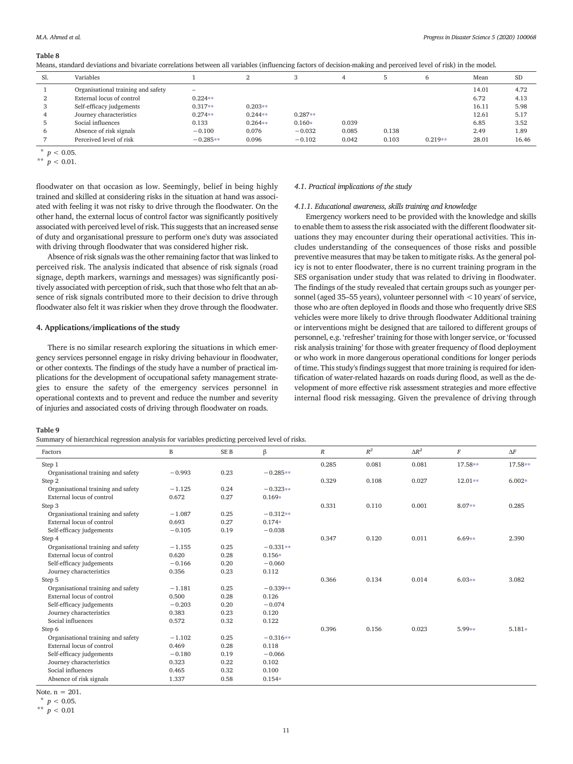<span id="page-10-0"></span>

| Means, standard deviations and bivariate correlations between all variables (influencing factors of decision-making and perceived level of risk) in the model. |  |  |  |
|----------------------------------------------------------------------------------------------------------------------------------------------------------------|--|--|--|
|----------------------------------------------------------------------------------------------------------------------------------------------------------------|--|--|--|

| Sl. | Variables                          |            |           | $\Omega$  |       |       |           | Mean  | <b>SD</b> |
|-----|------------------------------------|------------|-----------|-----------|-------|-------|-----------|-------|-----------|
|     | Organisational training and safety | $\equiv$   |           |           |       |       |           | 14.01 | 4.72      |
|     | External locus of control          | $0.224**$  |           |           |       |       |           | 6.72  | 4.13      |
|     | Self-efficacy judgements           | $0.317**$  | $0.203**$ |           |       |       |           | 16.11 | 5.98      |
|     | Journey characteristics            | $0.274**$  | $0.244**$ | $0.287**$ |       |       |           | 12.61 | 5.17      |
|     | Social influences                  | 0.133      | $0.264**$ | $0.160*$  | 0.039 |       |           | 6.85  | 3.52      |
|     | Absence of risk signals            | $-0.100$   | 0.076     | $-0.032$  | 0.085 | 0.138 |           | 2.49  | 1.89      |
|     | Perceived level of risk            | $-0.285**$ | 0.096     | $-0.102$  | 0.042 | 0.103 | $0.219**$ | 28.01 | 16.46     |

 $*$   $p < 0.05$ .

\*\*  $p < 0.01$ .

floodwater on that occasion as low. Seemingly, belief in being highly trained and skilled at considering risks in the situation at hand was associated with feeling it was not risky to drive through the floodwater. On the other hand, the external locus of control factor was significantly positively associated with perceived level of risk. This suggests that an increased sense of duty and organisational pressure to perform one's duty was associated with driving through floodwater that was considered higher risk.

Absence of risk signals was the other remaining factor that was linked to perceived risk. The analysis indicated that absence of risk signals (road signage, depth markers, warnings and messages) was significantly positively associated with perception of risk, such that those who felt that an absence of risk signals contributed more to their decision to drive through floodwater also felt it was riskier when they drove through the floodwater.

#### 4. Applications/implications of the study

There is no similar research exploring the situations in which emergency services personnel engage in risky driving behaviour in floodwater, or other contexts. The findings of the study have a number of practical implications for the development of occupational safety management strategies to ensure the safety of the emergency services personnel in operational contexts and to prevent and reduce the number and severity of injuries and associated costs of driving through floodwater on roads.

#### Table 9

Summary of hierarchical regression analysis for variables predicting perceived level of risks.

#### 4.1. Practical implications of the study

## 4.1.1. Educational awareness, skills training and knowledge

Emergency workers need to be provided with the knowledge and skills to enable them to assess the risk associated with the different floodwater situations they may encounter during their operational activities. This includes understanding of the consequences of those risks and possible preventive measures that may be taken to mitigate risks. As the general policy is not to enter floodwater, there is no current training program in the SES organisation under study that was related to driving in floodwater. The findings of the study revealed that certain groups such as younger personnel (aged 35–55 years), volunteer personnel with <10 years' of service, those who are often deployed in floods and those who frequently drive SES vehicles were more likely to drive through floodwater Additional training or interventions might be designed that are tailored to different groups of personnel, e.g. 'refresher' training for those with longer service, or'focussed risk analysis training' for those with greater frequency of flood deployment or who work in more dangerous operational conditions for longer periods of time. This study's findings suggest that more training is required for identification of water-related hazards on roads during flood, as well as the development of more effective risk assessment strategies and more effective internal flood risk messaging. Given the prevalence of driving through

| Factors                            | B        | SE <sub>B</sub> | β          | $\boldsymbol{R}$ | $R^2$ | $\Delta R^2$ | $\cal F$  | $\Delta F$ |
|------------------------------------|----------|-----------------|------------|------------------|-------|--------------|-----------|------------|
| Step 1                             |          |                 |            | 0.285            | 0.081 | 0.081        | 17.58**   | 17.58**    |
| Organisational training and safety | $-0.993$ | 0.23            | $-0.285**$ |                  |       |              |           |            |
| Step 2                             |          |                 |            | 0.329            | 0.108 | 0.027        | $12.01**$ | $6.002*$   |
| Organisational training and safety | $-1.125$ | 0.24            | $-0.323**$ |                  |       |              |           |            |
| External locus of control          | 0.672    | 0.27            | $0.169*$   |                  |       |              |           |            |
| Step 3                             |          |                 |            | 0.331            | 0.110 | 0.001        | 8.07**    | 0.285      |
| Organisational training and safety | $-1.087$ | 0.25            | $-0.312**$ |                  |       |              |           |            |
| External locus of control          | 0.693    | 0.27            | $0.174*$   |                  |       |              |           |            |
| Self-efficacy judgements           | $-0.105$ | 0.19            | $-0.038$   |                  |       |              |           |            |
| Step 4                             |          |                 |            | 0.347            | 0.120 | 0.011        | $6.69**$  | 2.390      |
| Organisational training and safety | $-1.155$ | 0.25            | $-0.331**$ |                  |       |              |           |            |
| External locus of control          | 0.620    | 0.28            | $0.156*$   |                  |       |              |           |            |
| Self-efficacy judgements           | $-0.166$ | 0.20            | $-0.060$   |                  |       |              |           |            |
| Journey characteristics            | 0.356    | 0.23            | 0.112      |                  |       |              |           |            |
| Step 5                             |          |                 |            | 0.366            | 0.134 | 0.014        | $6.03**$  | 3.082      |
| Organisational training and safety | $-1.181$ | 0.25            | $-0.339**$ |                  |       |              |           |            |
| External locus of control          | 0.500    | 0.28            | 0.126      |                  |       |              |           |            |
| Self-efficacy judgements           | $-0.203$ | 0.20            | $-0.074$   |                  |       |              |           |            |
| Journey characteristics            | 0.383    | 0.23            | 0.120      |                  |       |              |           |            |
| Social influences                  | 0.572    | 0.32            | 0.122      |                  |       |              |           |            |
| Step 6                             |          |                 |            | 0.396            | 0.156 | 0.023        | 5.99**    | $5.181*$   |
| Organisational training and safety | $-1.102$ | 0.25            | $-0.316**$ |                  |       |              |           |            |
| External locus of control          | 0.469    | 0.28            | 0.118      |                  |       |              |           |            |
| Self-efficacy judgements           | $-0.180$ | 0.19            | $-0.066$   |                  |       |              |           |            |
| Journey characteristics            | 0.323    | 0.22            | 0.102      |                  |       |              |           |            |
| Social influences                  | 0.465    | 0.32            | 0.100      |                  |       |              |           |            |
| Absence of risk signals            | 1.337    | 0.58            | $0.154*$   |                  |       |              |           |            |
| $N$ ote n – 201                    |          |                 |            |                  |       |              |           |            |

Note. n = 201.

 $*$   $p < 0.05$ .

\*\*  $p < 0.01$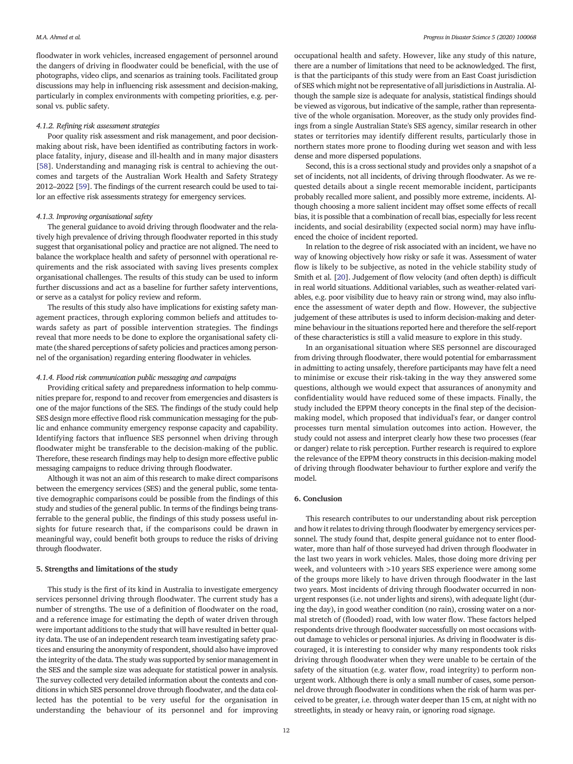floodwater in work vehicles, increased engagement of personnel around the dangers of driving in floodwater could be beneficial, with the use of photographs, video clips, and scenarios as training tools. Facilitated group discussions may help in influencing risk assessment and decision-making, particularly in complex environments with competing priorities, e.g. personal vs. public safety.

### 4.1.2. Refining risk assessment strategies

Poor quality risk assessment and risk management, and poor decisionmaking about risk, have been identified as contributing factors in workplace fatality, injury, disease and ill-health and in many major disasters [[58](#page-13-0)]. Understanding and managing risk is central to achieving the outcomes and targets of the Australian Work Health and Safety Strategy 2012–2022 [[59](#page-13-0)]. The findings of the current research could be used to tailor an effective risk assessments strategy for emergency services.

## 4.1.3. Improving organisational safety

The general guidance to avoid driving through floodwater and the relatively high prevalence of driving through floodwater reported in this study suggest that organisational policy and practice are not aligned. The need to balance the workplace health and safety of personnel with operational requirements and the risk associated with saving lives presents complex organisational challenges. The results of this study can be used to inform further discussions and act as a baseline for further safety interventions, or serve as a catalyst for policy review and reform.

The results of this study also have implications for existing safety management practices, through exploring common beliefs and attitudes towards safety as part of possible intervention strategies. The findings reveal that more needs to be done to explore the organisational safety climate (the shared perceptions of safety policies and practices among personnel of the organisation) regarding entering floodwater in vehicles.

## 4.1.4. Flood risk communication public messaging and campaigns

Providing critical safety and preparedness information to help communities prepare for, respond to and recover from emergencies and disasters is one of the major functions of the SES. The findings of the study could help SES design more effective flood risk communication messaging for the public and enhance community emergency response capacity and capability. Identifying factors that influence SES personnel when driving through floodwater might be transferable to the decision-making of the public. Therefore, these research findings may help to design more effective public messaging campaigns to reduce driving through floodwater.

Although it was not an aim of this research to make direct comparisons between the emergency services (SES) and the general public, some tentative demographic comparisons could be possible from the findings of this study and studies of the general public. In terms of the findings being transferrable to the general public, the findings of this study possess useful insights for future research that, if the comparisons could be drawn in meaningful way, could benefit both groups to reduce the risks of driving through floodwater.

#### 5. Strengths and limitations of the study

This study is the first of its kind in Australia to investigate emergency services personnel driving through floodwater. The current study has a number of strengths. The use of a definition of floodwater on the road, and a reference image for estimating the depth of water driven through were important additions to the study that will have resulted in better quality data. The use of an independent research team investigating safety practices and ensuring the anonymity of respondent, should also have improved the integrity of the data. The study was supported by senior management in the SES and the sample size was adequate for statistical power in analysis. The survey collected very detailed information about the contexts and conditions in which SES personnel drove through floodwater, and the data collected has the potential to be very useful for the organisation in understanding the behaviour of its personnel and for improving

occupational health and safety. However, like any study of this nature, there are a number of limitations that need to be acknowledged. The first, is that the participants of this study were from an East Coast jurisdiction of SES which might not be representative of all jurisdictions in Australia. Although the sample size is adequate for analysis, statistical findings should be viewed as vigorous, but indicative of the sample, rather than representative of the whole organisation. Moreover, as the study only provides findings from a single Australian State's SES agency, similar research in other states or territories may identify different results, particularly those in northern states more prone to flooding during wet season and with less dense and more dispersed populations.

Second, this is a cross sectional study and provides only a snapshot of a set of incidents, not all incidents, of driving through floodwater. As we requested details about a single recent memorable incident, participants probably recalled more salient, and possibly more extreme, incidents. Although choosing a more salient incident may offset some effects of recall bias, it is possible that a combination of recall bias, especially for less recent incidents, and social desirability (expected social norm) may have influenced the choice of incident reported.

In relation to the degree of risk associated with an incident, we have no way of knowing objectively how risky or safe it was. Assessment of water flow is likely to be subjective, as noted in the vehicle stability study of Smith et al. [\[20](#page-12-0)]. Judgement of flow velocity (and often depth) is difficult in real world situations. Additional variables, such as weather-related variables, e.g. poor visibility due to heavy rain or strong wind, may also influence the assessment of water depth and flow. However, the subjective judgement of these attributes is used to inform decision-making and determine behaviour in the situations reported here and therefore the self-report of these characteristics is still a valid measure to explore in this study.

In an organisational situation where SES personnel are discouraged from driving through floodwater, there would potential for embarrassment in admitting to acting unsafely, therefore participants may have felt a need to minimise or excuse their risk-taking in the way they answered some questions, although we would expect that assurances of anonymity and confidentiality would have reduced some of these impacts. Finally, the study included the EPPM theory concepts in the final step of the decisionmaking model, which proposed that individual's fear, or danger control processes turn mental simulation outcomes into action. However, the study could not assess and interpret clearly how these two processes (fear or danger) relate to risk perception. Further research is required to explore the relevance of the EPPM theory constructs in this decision-making model of driving through floodwater behaviour to further explore and verify the model.

## 6. Conclusion

This research contributes to our understanding about risk perception and how it relates to driving through floodwater by emergency services personnel. The study found that, despite general guidance not to enter floodwater, more than half of those surveyed had driven through floodwater in the last two years in work vehicles. Males, those doing more driving per week, and volunteers with >10 years SES experience were among some of the groups more likely to have driven through floodwater in the last two years. Most incidents of driving through floodwater occurred in nonurgent responses (i.e. not under lights and sirens), with adequate light (during the day), in good weather condition (no rain), crossing water on a normal stretch of (flooded) road, with low water flow. These factors helped respondents drive through floodwater successfully on most occasions without damage to vehicles or personal injuries. As driving in floodwater is discouraged, it is interesting to consider why many respondents took risks driving through floodwater when they were unable to be certain of the safety of the situation (e.g. water flow, road integrity) to perform nonurgent work. Although there is only a small number of cases, some personnel drove through floodwater in conditions when the risk of harm was perceived to be greater, i.e. through water deeper than 15 cm, at night with no streetlights, in steady or heavy rain, or ignoring road signage.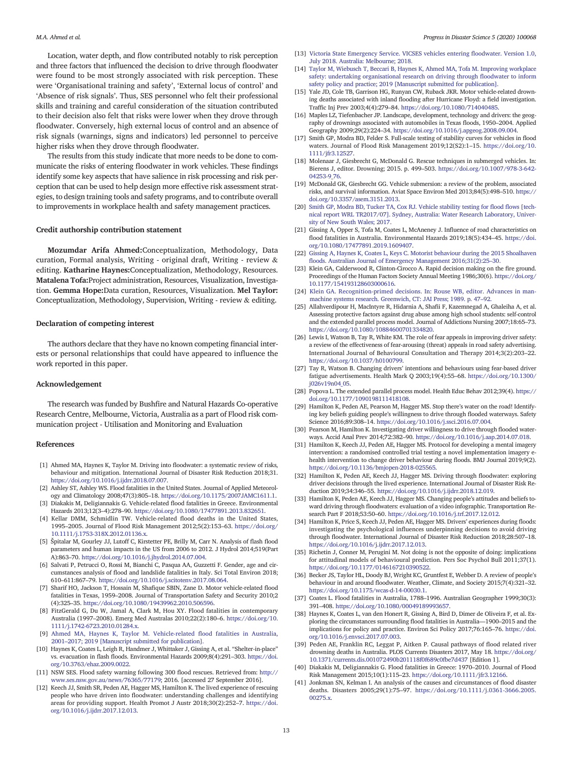<span id="page-12-0"></span>Location, water depth, and flow contributed notably to risk perception and three factors that influenced the decision to drive through floodwater were found to be most strongly associated with risk perception. These were 'Organisational training and safety', 'External locus of control' and 'Absence of risk signals'. Thus, SES personnel who felt their professional skills and training and careful consideration of the situation contributed to their decision also felt that risks were lower when they drove through floodwater. Conversely, high external locus of control and an absence of risk signals (warnings, signs and indicators) led personnel to perceive higher risks when they drove through floodwater.

The results from this study indicate that more needs to be done to communicate the risks of entering floodwater in work vehicles. These findings identify some key aspects that have salience in risk processing and risk perception that can be used to help design more effective risk assessment strategies, to design training tools and safety programs, and to contribute overall to improvements in workplace health and safety management practices.

## Credit authorship contribution statement

Mozumdar Arifa Ahmed:Conceptualization, Methodology, Data curation, Formal analysis, Writing - original draft, Writing - review & editing. Katharine Haynes:Conceptualization, Methodology, Resources. Matalena Tofa:Project administration, Resources, Visualization, Investigation. Gemma Hope:Data curation, Resources, Visualization. Mel Taylor: Conceptualization, Methodology, Supervision, Writing - review & editing.

## Declaration of competing interest

The authors declare that they have no known competing financial interests or personal relationships that could have appeared to influence the work reported in this paper.

## Acknowledgement

The research was funded by Bushfire and Natural Hazards Co-operative Research Centre, Melbourne, Victoria, Australia as a part of Flood risk communication project - Utilisation and Monitoring and Evaluation

#### References

- [1] Ahmed MA, Haynes K, Taylor M. Driving into floodwater: a systematic review of risks, behaviour and mitigation. International Journal of Disaster Risk Reduction 2018;31. <https://doi.org/10.1016/j.ijdrr.2018.07.007>.
- [2] Ashley ST, Ashley WS. Flood fatalities in the United States. Journal of Applied Meteorology and Climatology 2008;47(3):805–18. <https://doi.org/10.1175/2007JAMC1611.1>.
- [3] Diakakis M, Deligiannakis G. Vehicle-related flood fatalities in Greece. Environmental Hazards 2013;12(3–4):278–90. [https://doi.org/10.1080/17477891.2013.832651.](https://doi.org/10.1080/17477891.2013.832651)
- [4] Kellar DMM, Schmidlin TW. Vehicle-related flood deaths in the United States, 1995–2005. Journal of Flood Risk Management 2012;5(2):153–63. [https://doi.org/](https://doi.org/10.1111/j.1753-318X.2012.01136.x) [10.1111/j.1753-318X.2012.01136.x.](https://doi.org/10.1111/j.1753-318X.2012.01136.x)
- [5] Špitalar M, Gourley JJ, Lutoff C, Kirstetter PE, Brilly M, Carr N. Analysis of flash flood parameters and human impacts in the US from 2006 to 2012. J Hydrol 2014;519(Part A):863–70. <https://doi.org/10.1016/j.jhydrol.2014.07.004>.
- [6] Salvati P, Petrucci O, Rossi M, Bianchi C, Pasqua AA, Guzzetti F. Gender, age and circumstances analysis of flood and landslide fatalities in Italy. Sci Total Environ 2018; 610–611:867–79. [https://doi.org/10.1016/j.scitotenv.2017.08.064.](https://doi.org/10.1016/j.scitotenv.2017.08.064)
- [7] Sharif HO, Jackson T, Hossain M, Shafique SBIN, Zane D. Motor vehicle-related flood fatalities in Texas, 1959–2008. Journal of Transportation Safety and Security 2010;2 (4):325–35. [https://doi.org/10.1080/19439962.2010.506596.](https://doi.org/10.1080/19439962.2010.506596)
- [8] FitzGerald G, Du W, Jamal A, Clark M, Hou XY. Flood fatalities in contemporary Australia (1997–2008). Emerg Med Australas 2010;22(2):180–6. [https://doi.org/10.](https://doi.org/10.1111/j.1742-6723.2010.01284.x) [1111/j.1742-6723.2010.01284.x.](https://doi.org/10.1111/j.1742-6723.2010.01284.x)
- [9] [Ahmed MA, Haynes K, Taylor M. Vehicle-related](http://refhub.elsevier.com/S2590-0617(20)30005-3/rf0045) flood fatalities in Australia, 2001–[2017; 2019 \[Manuscript submitted for publication\].](http://refhub.elsevier.com/S2590-0617(20)30005-3/rf0045)
- [10] Haynes K, Coates L, Leigh R, Handmer J, Whittaker J, Gissing A, et al. "Shelter-in-place" vs. evacuation in flash floods. Environmental Hazards 2009;8(4):291–303. [https://doi.](https://doi.org/10.3763/ehaz.2009.0022) [org/10.3763/ehaz.2009.0022](https://doi.org/10.3763/ehaz.2009.0022).
- [11] NSW SES. Flood safety warning following 300 flood rescues. Retrieved from: [http://](http://www.ses.nsw.gov.au/news/76365/77179) [www.ses.nsw.gov.au/news/76365/77179](http://www.ses.nsw.gov.au/news/76365/77179); 2016. [accessed 27 September 2016].
- [12] Keech JJ, Smith SR, Peden AE, Hagger MS, Hamilton K. The lived experience of rescuing people who have driven into floodwater: understanding challenges and identifying areas for providing support. Health Promot J Austr 2018;30(2):252–7. [https://doi.](https://doi.org/10.1016/j.ijdrr.2017.12.013) [org/10.1016/j.ijdrr.2017.12.013.](https://doi.org/10.1016/j.ijdrr.2017.12.013)
- [13] [Victoria State Emergency Service. VICSES vehicles entering](http://refhub.elsevier.com/S2590-0617(20)30005-3/rf0065) floodwater. Version 1.0, [July 2018. Australia: Melbourne; 2018.](http://refhub.elsevier.com/S2590-0617(20)30005-3/rf0065)
- [14] [Taylor M, Wiebusch T, Beccari B, Haynes K, Ahmed MA, Tofa M. Improving workplace](http://refhub.elsevier.com/S2590-0617(20)30005-3/rf0070) [safety: undertaking organisational research on driving through](http://refhub.elsevier.com/S2590-0617(20)30005-3/rf0070) floodwater to inform [safety policy and practice; 2019 \[Manuscript submitted for publication\].](http://refhub.elsevier.com/S2590-0617(20)30005-3/rf0070)
- [15] Yale JD, Cole TB, Garrison HG, Runyan CW, Ruback JKR. Motor vehicle-related drowning deaths associated with inland flooding after Hurricane Floyd: a field investigation. Traffic Inj Prev 2003;4(4):279–84. [https://doi.org/10.1080/714040485.](https://doi.org/10.1080/714040485)
- [16] Maples LZ, Tiefenbacher JP. Landscape, development, technology and drivers: the geography of drownings associated with automobiles in Texas floods, 1950–2004. Applied Geography 2009;29(2):224–34. <https://doi.org/10.1016/j.apgeog.2008.09.004>.
- [17] Smith GP, Modra BD, Felder S. Full-scale testing of stability curves for vehicles in flood waters. Journal of Flood Risk Management 2019;12(S2):1–15. [https://doi.org/10.](https://doi.org/10.1111/jfr3.12527) [1111/jfr3.12527](https://doi.org/10.1111/jfr3.12527).
- [18] Molenaar J, Giesbrecht G, McDonald G. Rescue techniques in submerged vehicles. In: Bierens J, editor. Drowning; 2015. p. 499–503. [https://doi.org/10.1007/978-3-642-](https://doi.org/10.1007/978-3-642-04253-9_76) [04253-9\\_76](https://doi.org/10.1007/978-3-642-04253-9_76).
- [19] McDonald GK, Giesbrecht GG. Vehicle submersion: a review of the problem, associated risks, and survival information. Aviat Space Environ Med 2013;84(5):498–510. [https://](https://doi.org/10.3357/asem.3151.2013) [doi.org/10.3357/asem.3151.2013](https://doi.org/10.3357/asem.3151.2013).
- [20] [Smith GP, Modra BD, Tucker TA, Cox RJ. Vehicle stability testing for](http://refhub.elsevier.com/S2590-0617(20)30005-3/rf0100) flood flows [tech[nical report WRL TR2017/07\]. Sydney, Australia: Water Research Laboratory, Univer](http://refhub.elsevier.com/S2590-0617(20)30005-3/rf0100)[sity of New South Wales; 2017.](http://refhub.elsevier.com/S2590-0617(20)30005-3/rf0100)
- [21] Gissing A, Opper S, Tofa M, Coates L, McAneney J. Influence of road characteristics on flood fatalities in Australia. Environmental Hazards 2019;18(5):434–45. [https://doi.](https://doi.org/10.1080/17477891.2019.1609407) [org/10.1080/17477891.2019.1609407](https://doi.org/10.1080/17477891.2019.1609407).
- [22] [Gissing A, Haynes K, Coates L, Keys C. Motorist behaviour during the 2015 Shoalhaven](http://refhub.elsevier.com/S2590-0617(20)30005-3/rf0110) fl[oods. Australian Journal of Emergency Management 2016;31\(2\):25](http://refhub.elsevier.com/S2590-0617(20)30005-3/rf0110)–30.
- [23] Klein GA, Calderwood R, Clinton-Cirocco A. Rapid decision making on the fire ground. Proceedings of the Human Factors Society Annual Meeting 1986;30(6). [https://doi.org/](https://doi.org/10.1177/154193128603000616) [10.1177/154193128603000616.](https://doi.org/10.1177/154193128603000616)
- [24] [Klein GA. Recognition-primed decisions. In: Rouse WB, editor. Advances in man](http://refhub.elsevier.com/S2590-0617(20)30005-3/rf0120)[machine systems research. Greenwich, CT: JAI Press; 1989. p. 47](http://refhub.elsevier.com/S2590-0617(20)30005-3/rf0120)–92.
- [25] Allahverdipour H, MacIntyre R, Hidarnia A, Shafii F, Kazemnegad A, Ghaleiha A, et al. Assessing protective factors against drug abuse among high school students: self-control and the extended parallel process model. Journal of Addictions Nursing 2007;18:65–73. [https://doi.org/10.1080/10884600701334820.](https://doi.org/10.1080/10884600701334820)
- [26] Lewis I, Watson B, Tay R, White KM. The role of fear appeals in improving driver safety: a review of the effectiveness of fear-arousing (threat) appeals in road safety advertising. International Journal of Behavioural Consultation and Therapy 2014;3(2):203–22. <https://doi.org/10.1037/h0100799>.
- [27] Tay R, Watson B. Changing drivers' intentions and behaviours using fear-based driver fatigue advertisements. Health Mark Q 2003;19(4):55–68. [https://doi.org/10.1300/](https://doi.org/10.1300/j026v19n04_05) [j026v19n04\\_05](https://doi.org/10.1300/j026v19n04_05).
- [28] Popova L. The extended parallel process model. Health Educ Behav 2012;39(4). [https://](https://doi.org/10.1177/1090198111418108) [doi.org/10.1177/1090198111418108](https://doi.org/10.1177/1090198111418108).
- [29] Hamilton K, Peden AE, Pearson M, Hagger MS. Stop there's water on the road! Identifying key beliefs guiding people's willingness to drive through flooded waterways. Safety Science 2016;89:308–14. [https://doi.org/10.1016/j.ssci.2016.07.004.](https://doi.org/10.1016/j.ssci.2016.07.004)
- [30] Pearson M, Hamilton K. Investigating driver willingness to drive through flooded waterways. Accid Anal Prev 2014;72:382–90. [https://doi.org/10.1016/j.aap.2014.07.018.](https://doi.org/10.1016/j.aap.2014.07.018)
- [31] Hamilton K, Keech JJ, Peden AE, Hagger MS. Protocol for developing a mental imagery intervention: a randomised controlled trial testing a novel implementation imagery ehealth intervention to change driver behaviour during floods. BMJ Journal 2019;9(2). [https://doi.org/10.1136/bmjopen-2018-025565.](https://doi.org/10.1136/bmjopen-2018-025565)
- [32] Hamilton K, Peden AE, Keech JJ, Hagger MS. Driving through floodwater: exploring driver decisions through the lived experience. International Journal of Disaster Risk Reduction 2019;34:346–55. [https://doi.org/10.1016/j.ijdrr.2018.12.019.](https://doi.org/10.1016/j.ijdrr.2018.12.019)
- [33] Hamilton K, Peden AE, Keech JJ, Hagger MS. Changing people's attitudes and beliefs toward driving through floodwaters: evaluation of a video infographic. Transportation Research Part F 2018;53:50–60. [https://doi.org/10.1016/j.trf.2017.12.012.](https://doi.org/10.1016/j.trf.2017.12.012)
- [34] Hamilton K, Price S, Keech JJ, Peden AE, Hagger MS. Drivers' experiences during floods: investigating the psychological influences underpinning decisions to avoid driving through floodwater. International Journal of Disaster Risk Reduction 2018;28:507–18. [https://doi.org/10.1016/j.ijdrr.2017.12.013.](https://doi.org/10.1016/j.ijdrr.2017.12.013)
- [35] Richetin J, Conner M, Perugini M. Not doing is not the opposite of doing: implications for attitudinal models of behavioural prediction. Pers Soc Psychol Bull 2011;37(1). <https://doi.org/10.1177/0146167210390522>.
- [36] Becker JS, Taylor HL, Doody BJ, Wright KC, Gruntfest E, Webber D. A review of people's behaviour in and around floodwater. Weather, Climate, and Society 2015;7(4):321–32. <https://doi.org/10.1175/wcas-d-14-00030.1>.
- [37] Coates L. Flood fatalities in Australia, 1788–1996. Australian Geographer 1999;30(3): 391–408. [https://doi.org/10.1080/00049189993657.](https://doi.org/10.1080/00049189993657)
- [38] Haynes K, Coates L, van den Honert R, Gissing A, Bird D, Dimer de Oliveira F, et al. Exploring the circumstances surrounding flood fatalities in Australia—1900–2015 and the implications for policy and practice. Environ Sci Policy 2017;76:165–76. [https://doi.](https://doi.org/10.1016/j.envsci.2017.07.003) [org/10.1016/j.envsci.2017.07.003](https://doi.org/10.1016/j.envsci.2017.07.003).
- [39] Peden AE, Franklin RC, Leggat P, Aitken P. Causal pathways of flood related river drowning deaths in Australia. PLOS Currents Disasters 2017, May 18. [https://doi.org/](https://doi.org/10.1371/currents.dis.001072490b201118f0f689c0fbe7d437) [10.1371/currents.dis.001072490b201118f0f689c0fbe7d437](https://doi.org/10.1371/currents.dis.001072490b201118f0f689c0fbe7d437) [Edition 1].
- [40] Diakakis M, Deligiannakis G. Flood fatalities in Greece: 1970–2010. Journal of Flood Risk Management 2015;10(1):115–23. <https://doi.org/10.1111/jfr3.12166>.
- [41] Jonkman SN, Kelman I. An analysis of the causes and circumstances of flood disaster deaths. Disasters 2005;29(1):75–97. [https://doi.org/10.1111/j.0361-3666.2005.](https://doi.org/10.1111/j.0361-3666.2005.00275.x) [00275.x.](https://doi.org/10.1111/j.0361-3666.2005.00275.x)